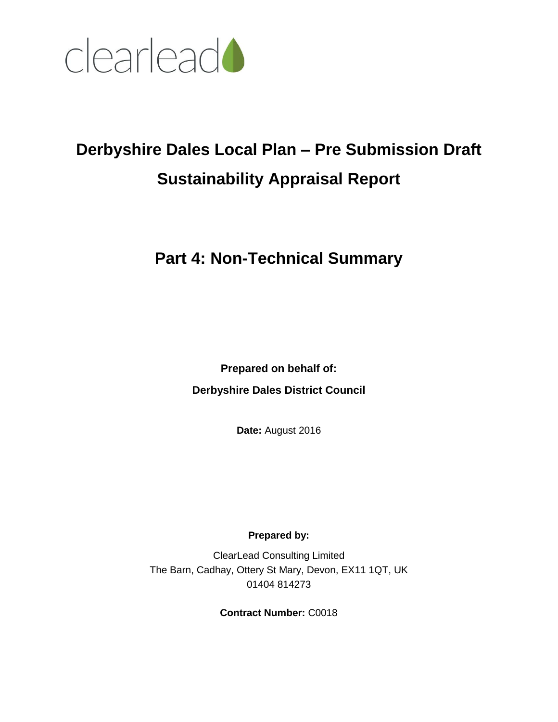

# **Derbyshire Dales Local Plan – Pre Submission Draft Sustainability Appraisal Report**

# **Part 4: Non-Technical Summary**

**Prepared on behalf of: Derbyshire Dales District Council**

**Date:** August 2016

**Prepared by:**

ClearLead Consulting Limited The Barn, Cadhay, Ottery St Mary, Devon, EX11 1QT, UK 01404 814273

**Contract Number:** C0018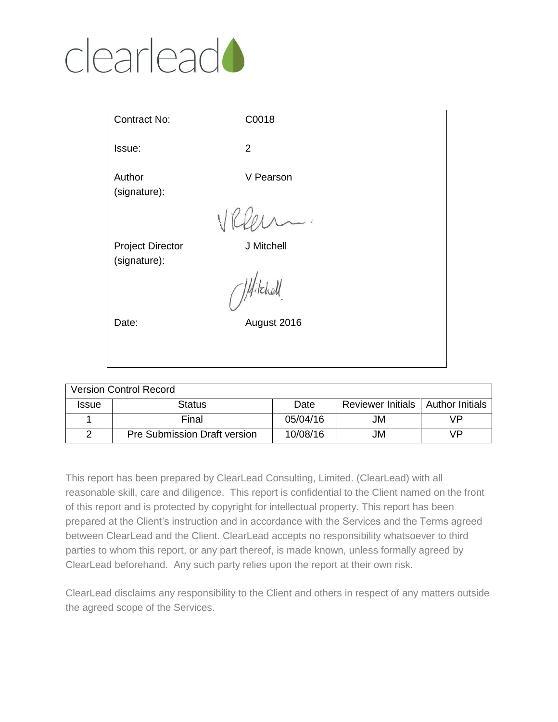# clearlead<sup>1</sup>

| Contract No:                            | C0018                                          |  |
|-----------------------------------------|------------------------------------------------|--|
| Issue:                                  | 2                                              |  |
| Author<br>(signature):                  | V Pearson                                      |  |
|                                         | VK                                             |  |
| <b>Project Director</b><br>(signature): | J Mitchell                                     |  |
|                                         | $($ <i>M</i> <sup><math>,</math>Ichell</sup> . |  |
| Date:                                   | August 2016                                    |  |
|                                         |                                                |  |

| <b>Version Control Record</b> |                                     |          |                                     |    |
|-------------------------------|-------------------------------------|----------|-------------------------------------|----|
| <b>Issue</b>                  | <b>Status</b>                       | Date     | Reviewer Initials   Author Initials |    |
|                               | Final                               | 05/04/16 | JM                                  | VP |
|                               | <b>Pre Submission Draft version</b> | 10/08/16 | JM                                  | VP |

This report has been prepared by ClearLead Consulting, Limited. (ClearLead) with all reasonable skill, care and diligence. This report is confidential to the Client named on the front of this report and is protected by copyright for intellectual property. This report has been prepared at the Client's instruction and in accordance with the Services and the Terms agreed between ClearLead and the Client. ClearLead accepts no responsibility whatsoever to third parties to whom this report, or any part thereof, is made known, unless formally agreed by ClearLead beforehand. Any such party relies upon the report at their own risk.

ClearLead disclaims any responsibility to the Client and others in respect of any matters outside the agreed scope of the Services.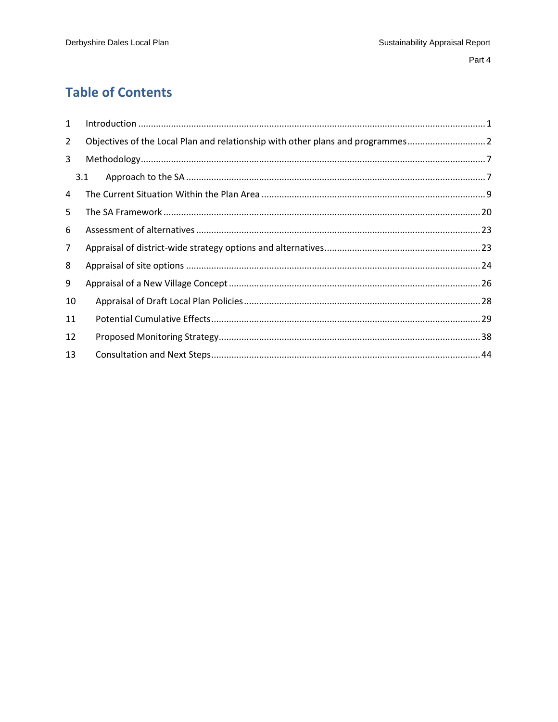# **Table of Contents**

| 1              |                                                                               |
|----------------|-------------------------------------------------------------------------------|
| $\overline{2}$ | Objectives of the Local Plan and relationship with other plans and programmes |
| 3              |                                                                               |
|                | 3.1                                                                           |
| 4              |                                                                               |
| 5              |                                                                               |
| 6              |                                                                               |
| $\overline{7}$ |                                                                               |
| 8              |                                                                               |
| 9              |                                                                               |
| 10             |                                                                               |
| 11             |                                                                               |
| 12             |                                                                               |
| 13             |                                                                               |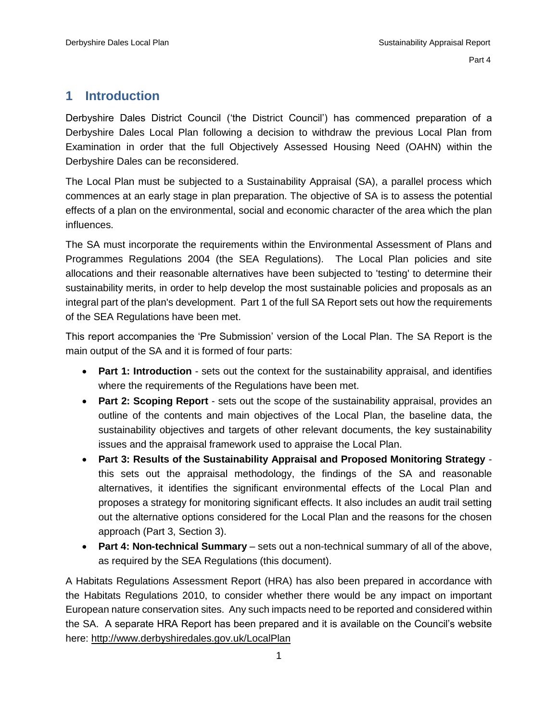## <span id="page-3-0"></span>**1 Introduction**

Derbyshire Dales District Council ('the District Council') has commenced preparation of a Derbyshire Dales Local Plan following a decision to withdraw the previous Local Plan from Examination in order that the full Objectively Assessed Housing Need (OAHN) within the Derbyshire Dales can be reconsidered.

The Local Plan must be subjected to a Sustainability Appraisal (SA), a parallel process which commences at an early stage in plan preparation. The objective of SA is to assess the potential effects of a plan on the environmental, social and economic character of the area which the plan influences.

The SA must incorporate the requirements within the Environmental Assessment of Plans and Programmes Regulations 2004 (the SEA Regulations). The Local Plan policies and site allocations and their reasonable alternatives have been subjected to 'testing' to determine their sustainability merits, in order to help develop the most sustainable policies and proposals as an integral part of the plan's development. Part 1 of the full SA Report sets out how the requirements of the SEA Regulations have been met.

This report accompanies the 'Pre Submission' version of the Local Plan. The SA Report is the main output of the SA and it is formed of four parts:

- **Part 1: Introduction** sets out the context for the sustainability appraisal, and identifies where the requirements of the Regulations have been met.
- **Part 2: Scoping Report** sets out the scope of the sustainability appraisal, provides an outline of the contents and main objectives of the Local Plan, the baseline data, the sustainability objectives and targets of other relevant documents, the key sustainability issues and the appraisal framework used to appraise the Local Plan.
- **Part 3: Results of the Sustainability Appraisal and Proposed Monitoring Strategy** this sets out the appraisal methodology, the findings of the SA and reasonable alternatives, it identifies the significant environmental effects of the Local Plan and proposes a strategy for monitoring significant effects. It also includes an audit trail setting out the alternative options considered for the Local Plan and the reasons for the chosen approach (Part 3, Section 3).
- **Part 4: Non-technical Summary** sets out a non-technical summary of all of the above, as required by the SEA Regulations (this document).

A Habitats Regulations Assessment Report (HRA) has also been prepared in accordance with the Habitats Regulations 2010, to consider whether there would be any impact on important European nature conservation sites. Any such impacts need to be reported and considered within the SA. A separate HRA Report has been prepared and it is available on the Council's website here:<http://www.derbyshiredales.gov.uk/LocalPlan>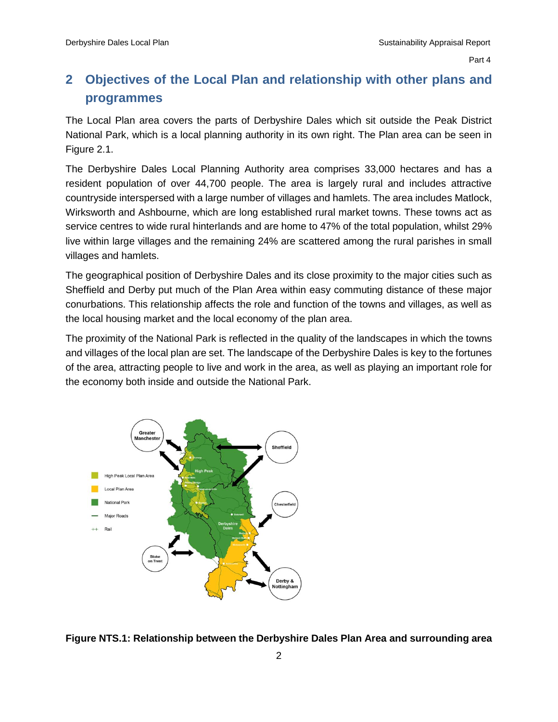# <span id="page-4-0"></span>**2 Objectives of the Local Plan and relationship with other plans and programmes**

The Local Plan area covers the parts of Derbyshire Dales which sit outside the Peak District National Park, which is a local planning authority in its own right. The Plan area can be seen in Figure 2.1.

The Derbyshire Dales Local Planning Authority area comprises 33,000 hectares and has a resident population of over 44,700 people. The area is largely rural and includes attractive countryside interspersed with a large number of villages and hamlets. The area includes Matlock, Wirksworth and Ashbourne, which are long established rural market towns. These towns act as service centres to wide rural hinterlands and are home to 47% of the total population, whilst 29% live within large villages and the remaining 24% are scattered among the rural parishes in small villages and hamlets.

The geographical position of Derbyshire Dales and its close proximity to the major cities such as Sheffield and Derby put much of the Plan Area within easy commuting distance of these major conurbations. This relationship affects the role and function of the towns and villages, as well as the local housing market and the local economy of the plan area.

The proximity of the National Park is reflected in the quality of the landscapes in which the towns and villages of the local plan are set. The landscape of the Derbyshire Dales is key to the fortunes of the area, attracting people to live and work in the area, as well as playing an important role for the economy both inside and outside the National Park.



**Figure NTS.1: Relationship between the Derbyshire Dales Plan Area and surrounding area**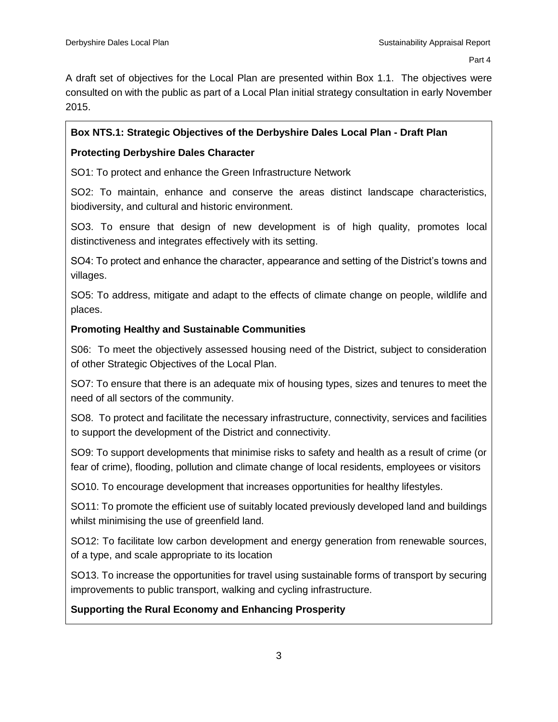A draft set of objectives for the Local Plan are presented within Box 1.1. The objectives were consulted on with the public as part of a Local Plan initial strategy consultation in early November 2015.

#### **Box NTS.1: Strategic Objectives of the Derbyshire Dales Local Plan - Draft Plan**

#### **Protecting Derbyshire Dales Character**

SO1: To protect and enhance the Green Infrastructure Network

SO2: To maintain, enhance and conserve the areas distinct landscape characteristics, biodiversity, and cultural and historic environment.

SO3. To ensure that design of new development is of high quality, promotes local distinctiveness and integrates effectively with its setting.

SO4: To protect and enhance the character, appearance and setting of the District's towns and villages.

SO5: To address, mitigate and adapt to the effects of climate change on people, wildlife and places.

#### **Promoting Healthy and Sustainable Communities**

S06: To meet the objectively assessed housing need of the District, subject to consideration of other Strategic Objectives of the Local Plan.

SO7: To ensure that there is an adequate mix of housing types, sizes and tenures to meet the need of all sectors of the community.

SO8. To protect and facilitate the necessary infrastructure, connectivity, services and facilities to support the development of the District and connectivity.

SO9: To support developments that minimise risks to safety and health as a result of crime (or fear of crime), flooding, pollution and climate change of local residents, employees or visitors

SO10. To encourage development that increases opportunities for healthy lifestyles.

SO11: To promote the efficient use of suitably located previously developed land and buildings whilst minimising the use of greenfield land.

SO12: To facilitate low carbon development and energy generation from renewable sources, of a type, and scale appropriate to its location

SO13. To increase the opportunities for travel using sustainable forms of transport by securing improvements to public transport, walking and cycling infrastructure.

#### **Supporting the Rural Economy and Enhancing Prosperity**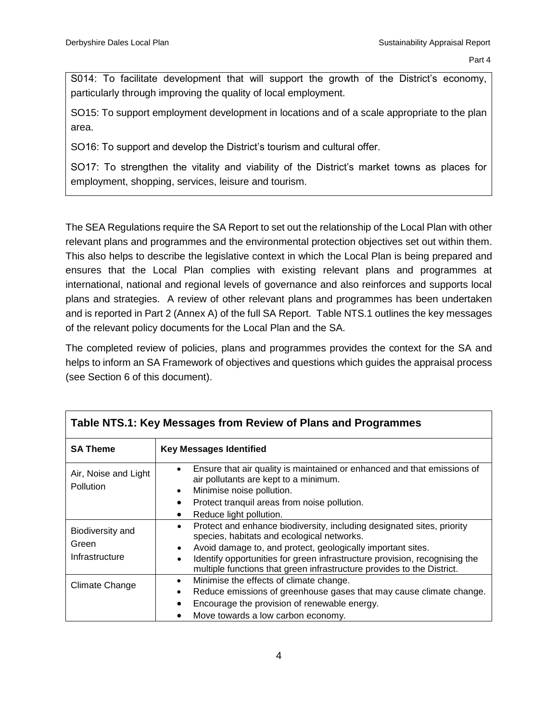S014: To facilitate development that will support the growth of the District's economy, particularly through improving the quality of local employment.

SO15: To support employment development in locations and of a scale appropriate to the plan area.

SO16: To support and develop the District's tourism and cultural offer.

SO17: To strengthen the vitality and viability of the District's market towns as places for employment, shopping, services, leisure and tourism.

The SEA Regulations require the SA Report to set out the relationship of the Local Plan with other relevant plans and programmes and the environmental protection objectives set out within them. This also helps to describe the legislative context in which the Local Plan is being prepared and ensures that the Local Plan complies with existing relevant plans and programmes at international, national and regional levels of governance and also reinforces and supports local plans and strategies. A review of other relevant plans and programmes has been undertaken and is reported in Part 2 (Annex A) of the full SA Report. Table NTS.1 outlines the key messages of the relevant policy documents for the Local Plan and the SA.

The completed review of policies, plans and programmes provides the context for the SA and helps to inform an SA Framework of objectives and questions which guides the appraisal process (see Section 6 of this document).

| Table NTS.1: Key Messages from Review of Plans and Programmes |                                                                                                                                                                                                                                                                                                                                                                            |  |  |
|---------------------------------------------------------------|----------------------------------------------------------------------------------------------------------------------------------------------------------------------------------------------------------------------------------------------------------------------------------------------------------------------------------------------------------------------------|--|--|
| <b>SA Theme</b>                                               | <b>Key Messages Identified</b>                                                                                                                                                                                                                                                                                                                                             |  |  |
| Air, Noise and Light<br><b>Pollution</b>                      | Ensure that air quality is maintained or enhanced and that emissions of<br>air pollutants are kept to a minimum.<br>Minimise noise pollution.<br>٠                                                                                                                                                                                                                         |  |  |
|                                                               | Protect tranquil areas from noise pollution.<br>Reduce light pollution.                                                                                                                                                                                                                                                                                                    |  |  |
| Biodiversity and<br>Green<br>Infrastructure                   | Protect and enhance biodiversity, including designated sites, priority<br>$\bullet$<br>species, habitats and ecological networks.<br>Avoid damage to, and protect, geologically important sites.<br>٠<br>Identify opportunities for green infrastructure provision, recognising the<br>$\bullet$<br>multiple functions that green infrastructure provides to the District. |  |  |
| Climate Change                                                | Minimise the effects of climate change.<br>$\bullet$<br>Reduce emissions of greenhouse gases that may cause climate change.<br>Encourage the provision of renewable energy.<br>Move towards a low carbon economy.                                                                                                                                                          |  |  |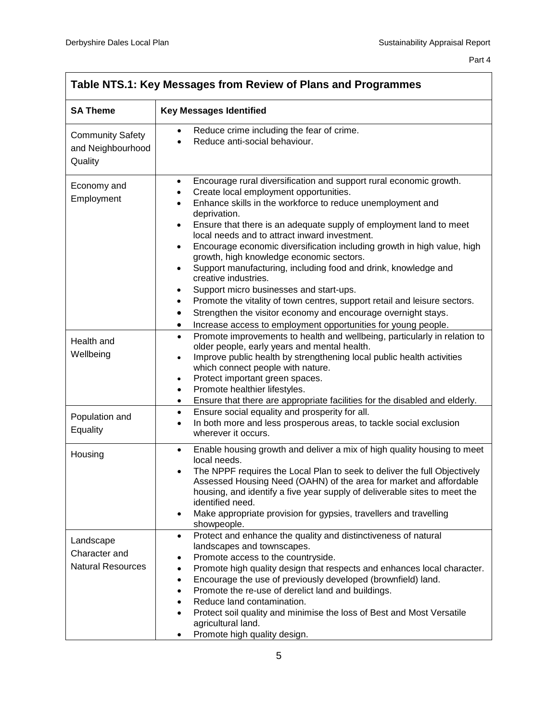| Table NTS.1: Key Messages from Review of Plans and Programmes |                                                                                                                                                                                                                                                                                                                                                                                                                                                                                                                                                                                                                                                                                                                                                                                                                                                                                           |  |
|---------------------------------------------------------------|-------------------------------------------------------------------------------------------------------------------------------------------------------------------------------------------------------------------------------------------------------------------------------------------------------------------------------------------------------------------------------------------------------------------------------------------------------------------------------------------------------------------------------------------------------------------------------------------------------------------------------------------------------------------------------------------------------------------------------------------------------------------------------------------------------------------------------------------------------------------------------------------|--|
| <b>SA Theme</b>                                               | <b>Key Messages Identified</b>                                                                                                                                                                                                                                                                                                                                                                                                                                                                                                                                                                                                                                                                                                                                                                                                                                                            |  |
| <b>Community Safety</b><br>and Neighbourhood<br>Quality       | Reduce crime including the fear of crime.<br>Reduce anti-social behaviour.                                                                                                                                                                                                                                                                                                                                                                                                                                                                                                                                                                                                                                                                                                                                                                                                                |  |
| Economy and<br>Employment                                     | Encourage rural diversification and support rural economic growth.<br>$\bullet$<br>Create local employment opportunities.<br>$\bullet$<br>Enhance skills in the workforce to reduce unemployment and<br>deprivation.<br>Ensure that there is an adequate supply of employment land to meet<br>٠<br>local needs and to attract inward investment.<br>Encourage economic diversification including growth in high value, high<br>$\bullet$<br>growth, high knowledge economic sectors.<br>Support manufacturing, including food and drink, knowledge and<br>$\bullet$<br>creative industries.<br>Support micro businesses and start-ups.<br>٠<br>Promote the vitality of town centres, support retail and leisure sectors.<br>$\bullet$<br>Strengthen the visitor economy and encourage overnight stays.<br>٠<br>Increase access to employment opportunities for young people.<br>$\bullet$ |  |
| Health and<br>Wellbeing                                       | Promote improvements to health and wellbeing, particularly in relation to<br>$\bullet$<br>older people, early years and mental health.<br>Improve public health by strengthening local public health activities<br>$\bullet$<br>which connect people with nature.<br>Protect important green spaces.<br>$\bullet$<br>Promote healthier lifestyles.<br>$\bullet$<br>Ensure that there are appropriate facilities for the disabled and elderly.<br>$\bullet$                                                                                                                                                                                                                                                                                                                                                                                                                                |  |
| Population and<br>Equality                                    | Ensure social equality and prosperity for all.<br>$\bullet$<br>In both more and less prosperous areas, to tackle social exclusion<br>wherever it occurs.                                                                                                                                                                                                                                                                                                                                                                                                                                                                                                                                                                                                                                                                                                                                  |  |
| Housing                                                       | Enable housing growth and deliver a mix of high quality housing to meet<br>$\bullet$<br>local needs.<br>The NPPF requires the Local Plan to seek to deliver the full Objectively<br>Assessed Housing Need (OAHN) of the area for market and affordable<br>housing, and identify a five year supply of deliverable sites to meet the<br>identified need.<br>Make appropriate provision for gypsies, travellers and travelling<br>showpeople.                                                                                                                                                                                                                                                                                                                                                                                                                                               |  |
| Landscape<br>Character and<br><b>Natural Resources</b>        | Protect and enhance the quality and distinctiveness of natural<br>$\bullet$<br>landscapes and townscapes.<br>Promote access to the countryside.<br>Promote high quality design that respects and enhances local character.<br>Encourage the use of previously developed (brownfield) land.<br>$\bullet$<br>Promote the re-use of derelict land and buildings.<br>Reduce land contamination.<br>Protect soil quality and minimise the loss of Best and Most Versatile<br>agricultural land.<br>Promote high quality design.                                                                                                                                                                                                                                                                                                                                                                |  |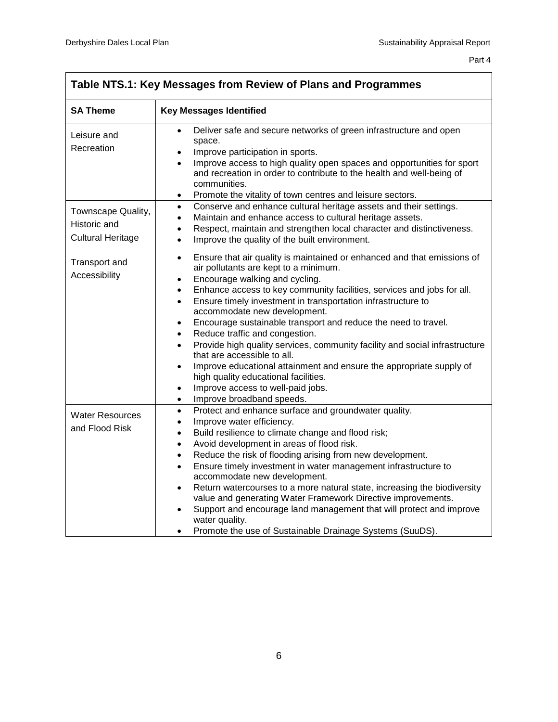| Table NTS.1: Key Messages from Review of Plans and Programmes  |                                                                                                                                                                                                                                                                                                                                                                                                                                                                                                                                                                                                                                                                                                                                                                                                                                                                   |  |  |
|----------------------------------------------------------------|-------------------------------------------------------------------------------------------------------------------------------------------------------------------------------------------------------------------------------------------------------------------------------------------------------------------------------------------------------------------------------------------------------------------------------------------------------------------------------------------------------------------------------------------------------------------------------------------------------------------------------------------------------------------------------------------------------------------------------------------------------------------------------------------------------------------------------------------------------------------|--|--|
| <b>SA Theme</b>                                                | <b>Key Messages Identified</b>                                                                                                                                                                                                                                                                                                                                                                                                                                                                                                                                                                                                                                                                                                                                                                                                                                    |  |  |
| Leisure and<br>Recreation                                      | Deliver safe and secure networks of green infrastructure and open<br>$\bullet$<br>space.<br>Improve participation in sports.<br>$\bullet$<br>Improve access to high quality open spaces and opportunities for sport<br>$\bullet$<br>and recreation in order to contribute to the health and well-being of<br>communities.<br>Promote the vitality of town centres and leisure sectors.<br>$\bullet$                                                                                                                                                                                                                                                                                                                                                                                                                                                               |  |  |
| Townscape Quality,<br>Historic and<br><b>Cultural Heritage</b> | Conserve and enhance cultural heritage assets and their settings.<br>$\bullet$<br>Maintain and enhance access to cultural heritage assets.<br>$\bullet$<br>Respect, maintain and strengthen local character and distinctiveness.<br>$\bullet$<br>Improve the quality of the built environment.<br>$\bullet$                                                                                                                                                                                                                                                                                                                                                                                                                                                                                                                                                       |  |  |
| Transport and<br>Accessibility                                 | Ensure that air quality is maintained or enhanced and that emissions of<br>$\bullet$<br>air pollutants are kept to a minimum.<br>Encourage walking and cycling.<br>$\bullet$<br>Enhance access to key community facilities, services and jobs for all.<br>$\bullet$<br>Ensure timely investment in transportation infrastructure to<br>$\bullet$<br>accommodate new development.<br>Encourage sustainable transport and reduce the need to travel.<br>$\bullet$<br>Reduce traffic and congestion.<br>$\bullet$<br>Provide high quality services, community facility and social infrastructure<br>$\bullet$<br>that are accessible to all.<br>Improve educational attainment and ensure the appropriate supply of<br>$\bullet$<br>high quality educational facilities.<br>Improve access to well-paid jobs.<br>$\bullet$<br>Improve broadband speeds.<br>$\bullet$ |  |  |
| <b>Water Resources</b><br>and Flood Risk                       | Protect and enhance surface and groundwater quality.<br>$\bullet$<br>Improve water efficiency.<br>٠<br>Build resilience to climate change and flood risk;<br>$\bullet$<br>Avoid development in areas of flood risk.<br>$\bullet$<br>Reduce the risk of flooding arising from new development.<br>$\bullet$<br>Ensure timely investment in water management infrastructure to<br>$\bullet$<br>accommodate new development.<br>Return watercourses to a more natural state, increasing the biodiversity<br>$\bullet$<br>value and generating Water Framework Directive improvements.<br>Support and encourage land management that will protect and improve<br>$\bullet$<br>water quality.<br>Promote the use of Sustainable Drainage Systems (SuuDS).                                                                                                              |  |  |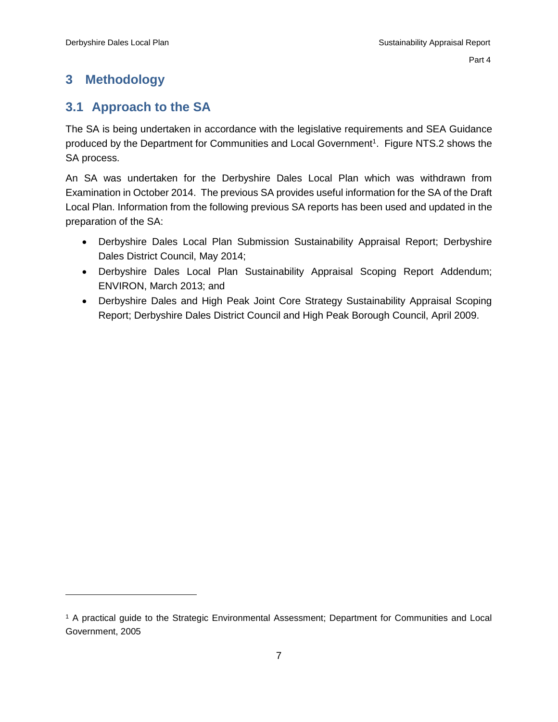# <span id="page-9-0"></span>**3 Methodology**

 $\overline{a}$ 

## <span id="page-9-1"></span>**3.1 Approach to the SA**

The SA is being undertaken in accordance with the legislative requirements and SEA Guidance produced by the Department for Communities and Local Government<sup>1</sup>. Figure NTS.2 shows the SA process.

An SA was undertaken for the Derbyshire Dales Local Plan which was withdrawn from Examination in October 2014. The previous SA provides useful information for the SA of the Draft Local Plan. Information from the following previous SA reports has been used and updated in the preparation of the SA:

- Derbyshire Dales Local Plan Submission Sustainability Appraisal Report; Derbyshire Dales District Council, May 2014;
- Derbyshire Dales Local Plan Sustainability Appraisal Scoping Report Addendum; ENVIRON, March 2013; and
- Derbyshire Dales and High Peak Joint Core Strategy Sustainability Appraisal Scoping Report; Derbyshire Dales District Council and High Peak Borough Council, April 2009.

<sup>1</sup> A practical guide to the Strategic Environmental Assessment; Department for Communities and Local Government, 2005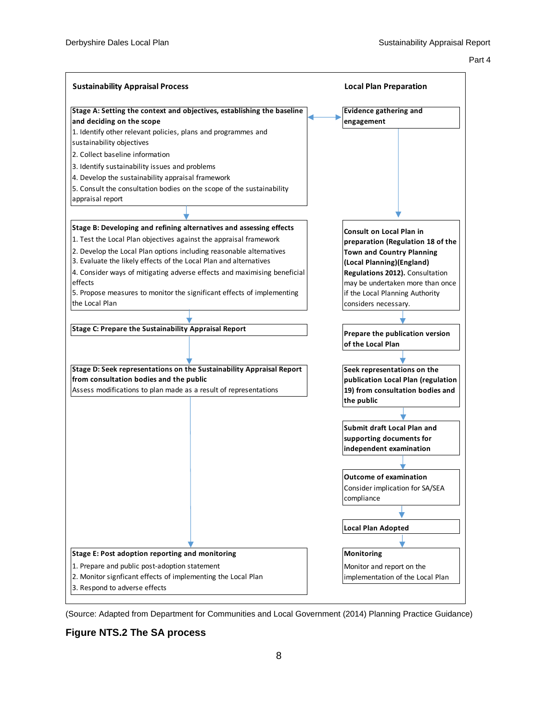#### Part 4 and 2012 and 2012 and 2012 and 2012 and 2012 and 2012 and 2012 and 2012 and 2012 and 2012 and 2012 and



(Source: Adapted from Department for Communities and Local Government (2014) Planning Practice Guidance)

#### **Figure NTS.2 The SA process**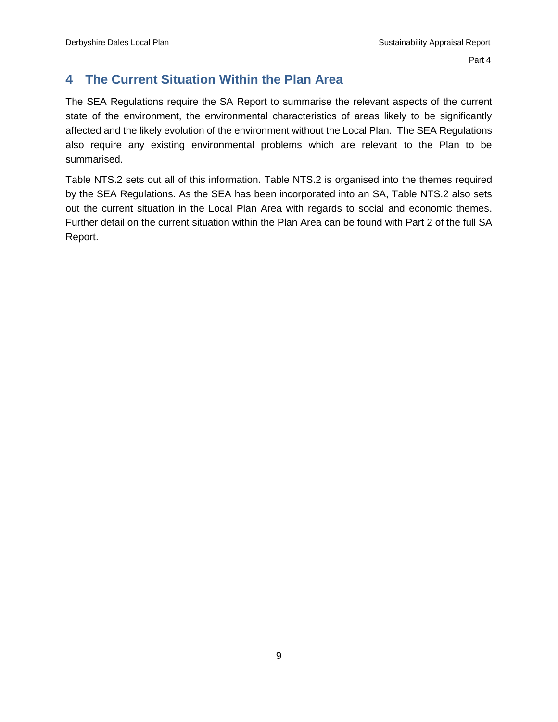# <span id="page-11-0"></span>**4 The Current Situation Within the Plan Area**

The SEA Regulations require the SA Report to summarise the relevant aspects of the current state of the environment, the environmental characteristics of areas likely to be significantly affected and the likely evolution of the environment without the Local Plan. The SEA Regulations also require any existing environmental problems which are relevant to the Plan to be summarised.

Table NTS.2 sets out all of this information. Table NTS.2 is organised into the themes required by the SEA Regulations. As the SEA has been incorporated into an SA, Table NTS.2 also sets out the current situation in the Local Plan Area with regards to social and economic themes. Further detail on the current situation within the Plan Area can be found with Part 2 of the full SA Report.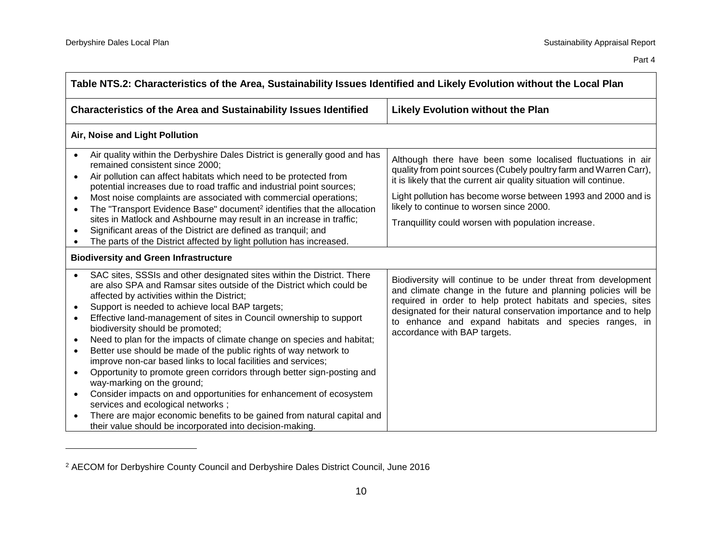| Table NTS.2: Characteristics of the Area, Sustainability Issues Identified and Likely Evolution without the Local Plan                                                                                                                                                                                                                                                                                                                                                                                                                                                                                                                                                                                                                                                                                                                                                                                                                                                                                                         |                                                                                                                                                                                                                                                                                                                                                                            |  |  |
|--------------------------------------------------------------------------------------------------------------------------------------------------------------------------------------------------------------------------------------------------------------------------------------------------------------------------------------------------------------------------------------------------------------------------------------------------------------------------------------------------------------------------------------------------------------------------------------------------------------------------------------------------------------------------------------------------------------------------------------------------------------------------------------------------------------------------------------------------------------------------------------------------------------------------------------------------------------------------------------------------------------------------------|----------------------------------------------------------------------------------------------------------------------------------------------------------------------------------------------------------------------------------------------------------------------------------------------------------------------------------------------------------------------------|--|--|
| <b>Characteristics of the Area and Sustainability Issues Identified</b><br><b>Likely Evolution without the Plan</b>                                                                                                                                                                                                                                                                                                                                                                                                                                                                                                                                                                                                                                                                                                                                                                                                                                                                                                            |                                                                                                                                                                                                                                                                                                                                                                            |  |  |
| Air, Noise and Light Pollution                                                                                                                                                                                                                                                                                                                                                                                                                                                                                                                                                                                                                                                                                                                                                                                                                                                                                                                                                                                                 |                                                                                                                                                                                                                                                                                                                                                                            |  |  |
| Air quality within the Derbyshire Dales District is generally good and has<br>remained consistent since 2000;<br>Air pollution can affect habitats which need to be protected from<br>$\bullet$<br>potential increases due to road traffic and industrial point sources;<br>Most noise complaints are associated with commercial operations;<br>$\bullet$<br>The "Transport Evidence Base" document <sup>2</sup> identifies that the allocation<br>$\bullet$<br>sites in Matlock and Ashbourne may result in an increase in traffic;<br>Significant areas of the District are defined as tranquil; and<br>$\bullet$<br>The parts of the District affected by light pollution has increased.                                                                                                                                                                                                                                                                                                                                    | Although there have been some localised fluctuations in air<br>quality from point sources (Cubely poultry farm and Warren Carr),<br>it is likely that the current air quality situation will continue.<br>Light pollution has become worse between 1993 and 2000 and is<br>likely to continue to worsen since 2000.<br>Tranquillity could worsen with population increase. |  |  |
| <b>Biodiversity and Green Infrastructure</b>                                                                                                                                                                                                                                                                                                                                                                                                                                                                                                                                                                                                                                                                                                                                                                                                                                                                                                                                                                                   |                                                                                                                                                                                                                                                                                                                                                                            |  |  |
| SAC sites, SSSIs and other designated sites within the District. There<br>are also SPA and Ramsar sites outside of the District which could be<br>affected by activities within the District;<br>Support is needed to achieve local BAP targets;<br>$\bullet$<br>Effective land-management of sites in Council ownership to support<br>$\bullet$<br>biodiversity should be promoted;<br>Need to plan for the impacts of climate change on species and habitat;<br>$\bullet$<br>Better use should be made of the public rights of way network to<br>$\bullet$<br>improve non-car based links to local facilities and services;<br>Opportunity to promote green corridors through better sign-posting and<br>$\bullet$<br>way-marking on the ground;<br>Consider impacts on and opportunities for enhancement of ecosystem<br>$\bullet$<br>services and ecological networks;<br>There are major economic benefits to be gained from natural capital and<br>$\bullet$<br>their value should be incorporated into decision-making. | Biodiversity will continue to be under threat from development<br>and climate change in the future and planning policies will be<br>required in order to help protect habitats and species, sites<br>designated for their natural conservation importance and to help<br>to enhance and expand habitats and species ranges, in<br>accordance with BAP targets.             |  |  |

<sup>2</sup> AECOM for Derbyshire County Council and Derbyshire Dales District Council, June 2016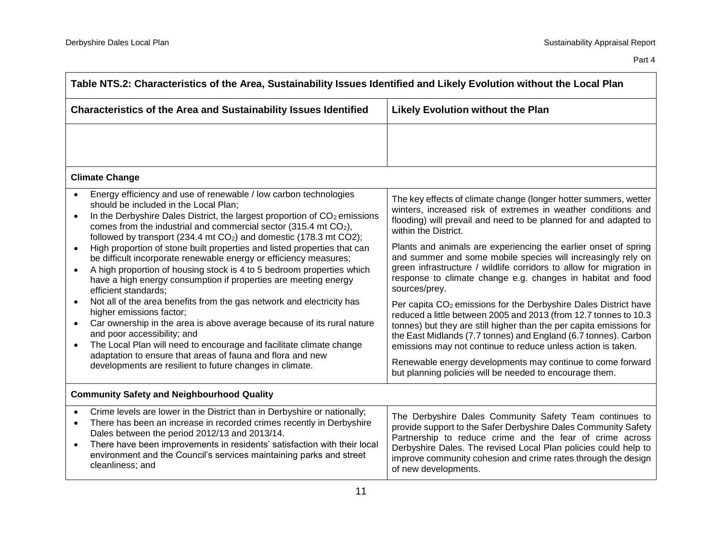| Table NTS.2: Characteristics of the Area, Sustainability Issues Identified and Likely Evolution without the Local Plan                                                                                                                                                                                                                                                                                                                |                                                                                                                                                                                                                                                                                                                                                                                                                                                                                    |  |
|---------------------------------------------------------------------------------------------------------------------------------------------------------------------------------------------------------------------------------------------------------------------------------------------------------------------------------------------------------------------------------------------------------------------------------------|------------------------------------------------------------------------------------------------------------------------------------------------------------------------------------------------------------------------------------------------------------------------------------------------------------------------------------------------------------------------------------------------------------------------------------------------------------------------------------|--|
| Characteristics of the Area and Sustainability Issues Identified                                                                                                                                                                                                                                                                                                                                                                      | <b>Likely Evolution without the Plan</b>                                                                                                                                                                                                                                                                                                                                                                                                                                           |  |
|                                                                                                                                                                                                                                                                                                                                                                                                                                       |                                                                                                                                                                                                                                                                                                                                                                                                                                                                                    |  |
| <b>Climate Change</b>                                                                                                                                                                                                                                                                                                                                                                                                                 |                                                                                                                                                                                                                                                                                                                                                                                                                                                                                    |  |
| Energy efficiency and use of renewable / low carbon technologies<br>should be included in the Local Plan;<br>In the Derbyshire Dales District, the largest proportion of CO <sub>2</sub> emissions<br>$\bullet$<br>comes from the industrial and commercial sector (315.4 mt CO <sub>2</sub> ),<br>followed by transport (234.4 mt CO <sub>2</sub> ) and domestic (178.3 mt CO2);                                                     | The key effects of climate change (longer hotter summers, wetter<br>winters, increased risk of extremes in weather conditions and<br>flooding) will prevail and need to be planned for and adapted to<br>within the District.                                                                                                                                                                                                                                                      |  |
| High proportion of stone built properties and listed properties that can<br>$\bullet$<br>be difficult incorporate renewable energy or efficiency measures;<br>A high proportion of housing stock is 4 to 5 bedroom properties which<br>$\bullet$<br>have a high energy consumption if properties are meeting energy<br>efficient standards;                                                                                           | Plants and animals are experiencing the earlier onset of spring<br>and summer and some mobile species will increasingly rely on<br>green infrastructure / wildlife corridors to allow for migration in<br>response to climate change e.g. changes in habitat and food<br>sources/prey.                                                                                                                                                                                             |  |
| Not all of the area benefits from the gas network and electricity has<br>higher emissions factor;<br>Car ownership in the area is above average because of its rural nature<br>$\bullet$<br>and poor accessibility; and<br>The Local Plan will need to encourage and facilitate climate change<br>$\bullet$<br>adaptation to ensure that areas of fauna and flora and new<br>developments are resilient to future changes in climate. | Per capita CO <sub>2</sub> emissions for the Derbyshire Dales District have<br>reduced a little between 2005 and 2013 (from 12.7 tonnes to 10.3<br>tonnes) but they are still higher than the per capita emissions for<br>the East Midlands (7.7 tonnes) and England (6.7 tonnes). Carbon<br>emissions may not continue to reduce unless action is taken.<br>Renewable energy developments may continue to come forward<br>but planning policies will be needed to encourage them. |  |
| <b>Community Safety and Neighbourhood Quality</b>                                                                                                                                                                                                                                                                                                                                                                                     |                                                                                                                                                                                                                                                                                                                                                                                                                                                                                    |  |
| Crime levels are lower in the District than in Derbyshire or nationally;<br>$\bullet$<br>There has been an increase in recorded crimes recently in Derbyshire<br>$\bullet$<br>Dales between the period 2012/13 and 2013/14.<br>There have been improvements in residents' satisfaction with their local<br>$\bullet$<br>environment and the Council's services maintaining parks and street<br>cleanliness; and                       | The Derbyshire Dales Community Safety Team continues to<br>provide support to the Safer Derbyshire Dales Community Safety<br>Partnership to reduce crime and the fear of crime across<br>Derbyshire Dales. The revised Local Plan policies could help to<br>improve community cohesion and crime rates through the design<br>of new developments.                                                                                                                                  |  |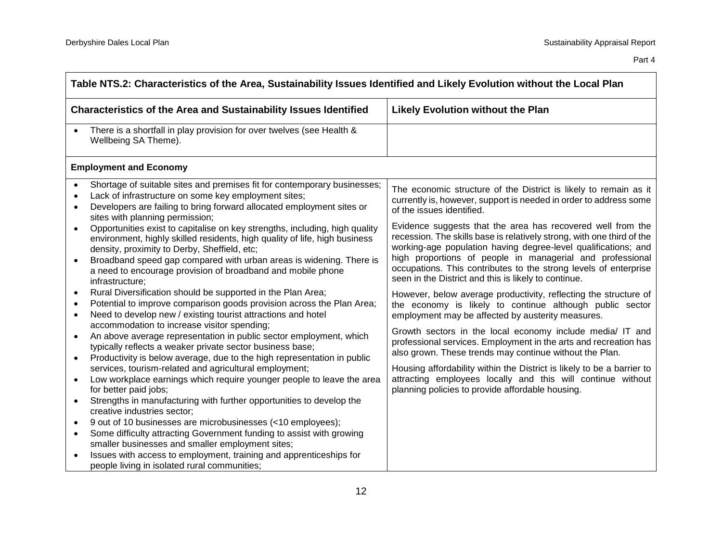| Table NTS.2: Characteristics of the Area, Sustainability Issues Identified and Likely Evolution without the Local Plan |                                                                                                                                                                                                                                                                                                                                                                                                                                                                                                                                                                                                                                                                                                                                                                                                                                                                                                                                                                                                                                                                                         |                                                                                                                                                                                                                                                                                                                                                                                                                                                                                                                                                                                                                                                                                                                                                                                                                                                                                                                                                         |
|------------------------------------------------------------------------------------------------------------------------|-----------------------------------------------------------------------------------------------------------------------------------------------------------------------------------------------------------------------------------------------------------------------------------------------------------------------------------------------------------------------------------------------------------------------------------------------------------------------------------------------------------------------------------------------------------------------------------------------------------------------------------------------------------------------------------------------------------------------------------------------------------------------------------------------------------------------------------------------------------------------------------------------------------------------------------------------------------------------------------------------------------------------------------------------------------------------------------------|---------------------------------------------------------------------------------------------------------------------------------------------------------------------------------------------------------------------------------------------------------------------------------------------------------------------------------------------------------------------------------------------------------------------------------------------------------------------------------------------------------------------------------------------------------------------------------------------------------------------------------------------------------------------------------------------------------------------------------------------------------------------------------------------------------------------------------------------------------------------------------------------------------------------------------------------------------|
| <b>Characteristics of the Area and Sustainability Issues Identified</b>                                                |                                                                                                                                                                                                                                                                                                                                                                                                                                                                                                                                                                                                                                                                                                                                                                                                                                                                                                                                                                                                                                                                                         | <b>Likely Evolution without the Plan</b>                                                                                                                                                                                                                                                                                                                                                                                                                                                                                                                                                                                                                                                                                                                                                                                                                                                                                                                |
| $\bullet$                                                                                                              | There is a shortfall in play provision for over twelves (see Health &<br>Wellbeing SA Theme).                                                                                                                                                                                                                                                                                                                                                                                                                                                                                                                                                                                                                                                                                                                                                                                                                                                                                                                                                                                           |                                                                                                                                                                                                                                                                                                                                                                                                                                                                                                                                                                                                                                                                                                                                                                                                                                                                                                                                                         |
|                                                                                                                        | <b>Employment and Economy</b>                                                                                                                                                                                                                                                                                                                                                                                                                                                                                                                                                                                                                                                                                                                                                                                                                                                                                                                                                                                                                                                           |                                                                                                                                                                                                                                                                                                                                                                                                                                                                                                                                                                                                                                                                                                                                                                                                                                                                                                                                                         |
| $\bullet$<br>$\bullet$<br>$\bullet$<br>$\bullet$<br>$\bullet$<br>$\bullet$<br>$\bullet$                                | Shortage of suitable sites and premises fit for contemporary businesses;<br>Lack of infrastructure on some key employment sites;<br>Developers are failing to bring forward allocated employment sites or<br>sites with planning permission;<br>Opportunities exist to capitalise on key strengths, including, high quality<br>environment, highly skilled residents, high quality of life, high business<br>density, proximity to Derby, Sheffield, etc;<br>Broadband speed gap compared with urban areas is widening. There is<br>a need to encourage provision of broadband and mobile phone<br>infrastructure;<br>Rural Diversification should be supported in the Plan Area;<br>Potential to improve comparison goods provision across the Plan Area;<br>Need to develop new / existing tourist attractions and hotel<br>accommodation to increase visitor spending;<br>An above average representation in public sector employment, which<br>typically reflects a weaker private sector business base;<br>Productivity is below average, due to the high representation in public | The economic structure of the District is likely to remain as it<br>currently is, however, support is needed in order to address some<br>of the issues identified.<br>Evidence suggests that the area has recovered well from the<br>recession. The skills base is relatively strong, with one third of the<br>working-age population having degree-level qualifications; and<br>high proportions of people in managerial and professional<br>occupations. This contributes to the strong levels of enterprise<br>seen in the District and this is likely to continue.<br>However, below average productivity, reflecting the structure of<br>the economy is likely to continue although public sector<br>employment may be affected by austerity measures.<br>Growth sectors in the local economy include media/ IT and<br>professional services. Employment in the arts and recreation has<br>also grown. These trends may continue without the Plan. |
| $\bullet$<br>$\bullet$                                                                                                 | services, tourism-related and agricultural employment;<br>Low workplace earnings which require younger people to leave the area<br>for better paid jobs;<br>Strengths in manufacturing with further opportunities to develop the                                                                                                                                                                                                                                                                                                                                                                                                                                                                                                                                                                                                                                                                                                                                                                                                                                                        | Housing affordability within the District is likely to be a barrier to<br>attracting employees locally and this will continue without<br>planning policies to provide affordable housing.                                                                                                                                                                                                                                                                                                                                                                                                                                                                                                                                                                                                                                                                                                                                                               |
| $\bullet$<br>$\bullet$<br>$\bullet$                                                                                    | creative industries sector;<br>9 out of 10 businesses are microbusinesses (<10 employees);<br>Some difficulty attracting Government funding to assist with growing<br>smaller businesses and smaller employment sites;<br>Issues with access to employment, training and apprenticeships for<br>people living in isolated rural communities;                                                                                                                                                                                                                                                                                                                                                                                                                                                                                                                                                                                                                                                                                                                                            |                                                                                                                                                                                                                                                                                                                                                                                                                                                                                                                                                                                                                                                                                                                                                                                                                                                                                                                                                         |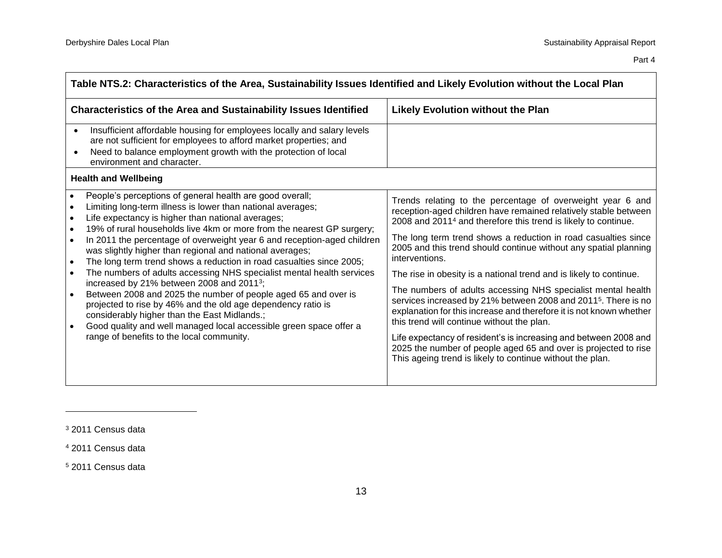$\overline{\phantom{0}}$ 

| Table NTS.2: Characteristics of the Area, Sustainability Issues Identified and Likely Evolution without the Local Plan                                                                                                                                                                                                                                                                                                                                                                                                                                                                                                                                                                                                                                                                                                                                                                                                                                                                                              |                                                                                                                                                                                                                                                                                                                                                                                                                                                                                                                                                                                                                                                                                                                                                                                                                                                                                                                  |  |
|---------------------------------------------------------------------------------------------------------------------------------------------------------------------------------------------------------------------------------------------------------------------------------------------------------------------------------------------------------------------------------------------------------------------------------------------------------------------------------------------------------------------------------------------------------------------------------------------------------------------------------------------------------------------------------------------------------------------------------------------------------------------------------------------------------------------------------------------------------------------------------------------------------------------------------------------------------------------------------------------------------------------|------------------------------------------------------------------------------------------------------------------------------------------------------------------------------------------------------------------------------------------------------------------------------------------------------------------------------------------------------------------------------------------------------------------------------------------------------------------------------------------------------------------------------------------------------------------------------------------------------------------------------------------------------------------------------------------------------------------------------------------------------------------------------------------------------------------------------------------------------------------------------------------------------------------|--|
| <b>Characteristics of the Area and Sustainability Issues Identified</b>                                                                                                                                                                                                                                                                                                                                                                                                                                                                                                                                                                                                                                                                                                                                                                                                                                                                                                                                             | <b>Likely Evolution without the Plan</b>                                                                                                                                                                                                                                                                                                                                                                                                                                                                                                                                                                                                                                                                                                                                                                                                                                                                         |  |
| Insufficient affordable housing for employees locally and salary levels<br>$\bullet$<br>are not sufficient for employees to afford market properties; and<br>Need to balance employment growth with the protection of local<br>$\bullet$<br>environment and character.                                                                                                                                                                                                                                                                                                                                                                                                                                                                                                                                                                                                                                                                                                                                              |                                                                                                                                                                                                                                                                                                                                                                                                                                                                                                                                                                                                                                                                                                                                                                                                                                                                                                                  |  |
| <b>Health and Wellbeing</b>                                                                                                                                                                                                                                                                                                                                                                                                                                                                                                                                                                                                                                                                                                                                                                                                                                                                                                                                                                                         |                                                                                                                                                                                                                                                                                                                                                                                                                                                                                                                                                                                                                                                                                                                                                                                                                                                                                                                  |  |
| People's perceptions of general health are good overall;<br>$\bullet$<br>Limiting long-term illness is lower than national averages;<br>$\bullet$<br>Life expectancy is higher than national averages;<br>$\bullet$<br>19% of rural households live 4km or more from the nearest GP surgery;<br>$\bullet$<br>In 2011 the percentage of overweight year 6 and reception-aged children<br>$\bullet$<br>was slightly higher than regional and national averages;<br>The long term trend shows a reduction in road casualties since 2005;<br>$\bullet$<br>The numbers of adults accessing NHS specialist mental health services<br>$\bullet$<br>increased by 21% between 2008 and 2011 <sup>3</sup> ;<br>Between 2008 and 2025 the number of people aged 65 and over is<br>$\bullet$<br>projected to rise by 46% and the old age dependency ratio is<br>considerably higher than the East Midlands.;<br>Good quality and well managed local accessible green space offer a<br>range of benefits to the local community. | Trends relating to the percentage of overweight year 6 and<br>reception-aged children have remained relatively stable between<br>2008 and 2011 <sup>4</sup> and therefore this trend is likely to continue.<br>The long term trend shows a reduction in road casualties since<br>2005 and this trend should continue without any spatial planning<br>interventions.<br>The rise in obesity is a national trend and is likely to continue.<br>The numbers of adults accessing NHS specialist mental health<br>services increased by 21% between 2008 and 2011 <sup>5</sup> . There is no<br>explanation for this increase and therefore it is not known whether<br>this trend will continue without the plan.<br>Life expectancy of resident's is increasing and between 2008 and<br>2025 the number of people aged 65 and over is projected to rise<br>This ageing trend is likely to continue without the plan. |  |

 $\overline{a}$ 

<sup>3</sup> 2011 Census data

<sup>4</sup> 2011 Census data

<sup>5</sup> 2011 Census data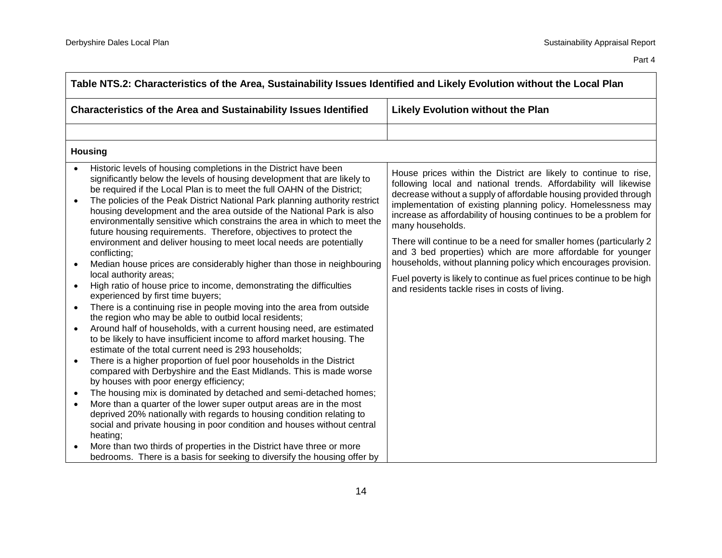| Table NTS.2: Characteristics of the Area, Sustainability Issues Identified and Likely Evolution without the Local Plan |                                                                                                                                                                                                                                                                                                                                                                                                                                                                                                                                                                                                                                                                                                                                                                                                                                                                                                                                                                                                                                                                                                                                                                                                                                                                                                                                                                                                                                                                                                                                                                                                                                                                                            |                                                                                                                                                                                                                                                                                                                                                                                                                                                                                                                                                                                                                                                                                                       |
|------------------------------------------------------------------------------------------------------------------------|--------------------------------------------------------------------------------------------------------------------------------------------------------------------------------------------------------------------------------------------------------------------------------------------------------------------------------------------------------------------------------------------------------------------------------------------------------------------------------------------------------------------------------------------------------------------------------------------------------------------------------------------------------------------------------------------------------------------------------------------------------------------------------------------------------------------------------------------------------------------------------------------------------------------------------------------------------------------------------------------------------------------------------------------------------------------------------------------------------------------------------------------------------------------------------------------------------------------------------------------------------------------------------------------------------------------------------------------------------------------------------------------------------------------------------------------------------------------------------------------------------------------------------------------------------------------------------------------------------------------------------------------------------------------------------------------|-------------------------------------------------------------------------------------------------------------------------------------------------------------------------------------------------------------------------------------------------------------------------------------------------------------------------------------------------------------------------------------------------------------------------------------------------------------------------------------------------------------------------------------------------------------------------------------------------------------------------------------------------------------------------------------------------------|
| <b>Characteristics of the Area and Sustainability Issues Identified</b>                                                |                                                                                                                                                                                                                                                                                                                                                                                                                                                                                                                                                                                                                                                                                                                                                                                                                                                                                                                                                                                                                                                                                                                                                                                                                                                                                                                                                                                                                                                                                                                                                                                                                                                                                            | Likely Evolution without the Plan                                                                                                                                                                                                                                                                                                                                                                                                                                                                                                                                                                                                                                                                     |
|                                                                                                                        |                                                                                                                                                                                                                                                                                                                                                                                                                                                                                                                                                                                                                                                                                                                                                                                                                                                                                                                                                                                                                                                                                                                                                                                                                                                                                                                                                                                                                                                                                                                                                                                                                                                                                            |                                                                                                                                                                                                                                                                                                                                                                                                                                                                                                                                                                                                                                                                                                       |
|                                                                                                                        | <b>Housing</b>                                                                                                                                                                                                                                                                                                                                                                                                                                                                                                                                                                                                                                                                                                                                                                                                                                                                                                                                                                                                                                                                                                                                                                                                                                                                                                                                                                                                                                                                                                                                                                                                                                                                             |                                                                                                                                                                                                                                                                                                                                                                                                                                                                                                                                                                                                                                                                                                       |
| $\bullet$<br>$\bullet$<br>$\bullet$<br>$\bullet$<br>$\bullet$                                                          | Historic levels of housing completions in the District have been<br>significantly below the levels of housing development that are likely to<br>be required if the Local Plan is to meet the full OAHN of the District;<br>The policies of the Peak District National Park planning authority restrict<br>housing development and the area outside of the National Park is also<br>environmentally sensitive which constrains the area in which to meet the<br>future housing requirements. Therefore, objectives to protect the<br>environment and deliver housing to meet local needs are potentially<br>conflicting;<br>Median house prices are considerably higher than those in neighbouring<br>local authority areas;<br>High ratio of house price to income, demonstrating the difficulties<br>experienced by first time buyers;<br>There is a continuing rise in people moving into the area from outside<br>the region who may be able to outbid local residents;<br>Around half of households, with a current housing need, are estimated<br>to be likely to have insufficient income to afford market housing. The<br>estimate of the total current need is 293 households;<br>There is a higher proportion of fuel poor households in the District<br>compared with Derbyshire and the East Midlands. This is made worse<br>by houses with poor energy efficiency;<br>The housing mix is dominated by detached and semi-detached homes;<br>More than a quarter of the lower super output areas are in the most<br>deprived 20% nationally with regards to housing condition relating to<br>social and private housing in poor condition and houses without central<br>heating; | House prices within the District are likely to continue to rise,<br>following local and national trends. Affordability will likewise<br>decrease without a supply of affordable housing provided through<br>implementation of existing planning policy. Homelessness may<br>increase as affordability of housing continues to be a problem for<br>many households.<br>There will continue to be a need for smaller homes (particularly 2<br>and 3 bed properties) which are more affordable for younger<br>households, without planning policy which encourages provision.<br>Fuel poverty is likely to continue as fuel prices continue to be high<br>and residents tackle rises in costs of living. |
| $\bullet$                                                                                                              | More than two thirds of properties in the District have three or more<br>bedrooms. There is a basis for seeking to diversify the housing offer by                                                                                                                                                                                                                                                                                                                                                                                                                                                                                                                                                                                                                                                                                                                                                                                                                                                                                                                                                                                                                                                                                                                                                                                                                                                                                                                                                                                                                                                                                                                                          |                                                                                                                                                                                                                                                                                                                                                                                                                                                                                                                                                                                                                                                                                                       |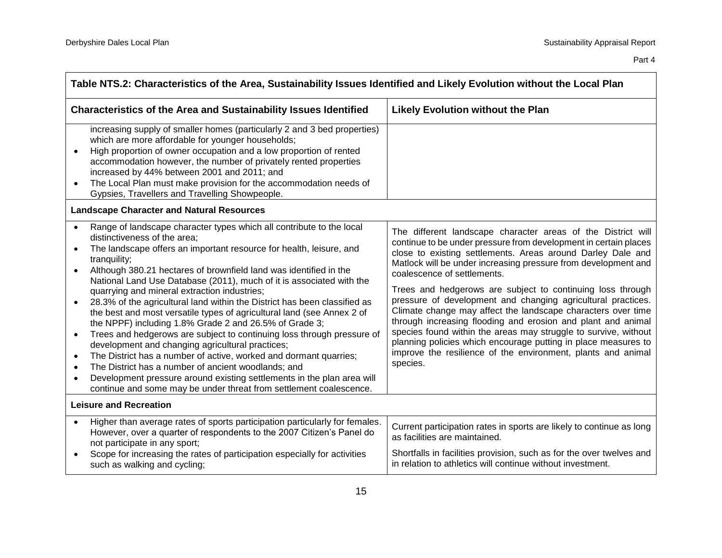| Table NTS.2: Characteristics of the Area, Sustainability Issues Identified and Likely Evolution without the Local Plan |                                                                                                                                                                                                                                                                                                                                                                                                                                                                                                                                                                                                                                                                                                                                                                                                                                                                                                                                                                                                                     |                                                                                                                                                                                                                                                                                                                                                                                                                                                                                                                                                                                                                                                                                                                                                                                 |
|------------------------------------------------------------------------------------------------------------------------|---------------------------------------------------------------------------------------------------------------------------------------------------------------------------------------------------------------------------------------------------------------------------------------------------------------------------------------------------------------------------------------------------------------------------------------------------------------------------------------------------------------------------------------------------------------------------------------------------------------------------------------------------------------------------------------------------------------------------------------------------------------------------------------------------------------------------------------------------------------------------------------------------------------------------------------------------------------------------------------------------------------------|---------------------------------------------------------------------------------------------------------------------------------------------------------------------------------------------------------------------------------------------------------------------------------------------------------------------------------------------------------------------------------------------------------------------------------------------------------------------------------------------------------------------------------------------------------------------------------------------------------------------------------------------------------------------------------------------------------------------------------------------------------------------------------|
|                                                                                                                        | <b>Characteristics of the Area and Sustainability Issues Identified</b>                                                                                                                                                                                                                                                                                                                                                                                                                                                                                                                                                                                                                                                                                                                                                                                                                                                                                                                                             | <b>Likely Evolution without the Plan</b>                                                                                                                                                                                                                                                                                                                                                                                                                                                                                                                                                                                                                                                                                                                                        |
| $\bullet$<br>$\bullet$                                                                                                 | increasing supply of smaller homes (particularly 2 and 3 bed properties)<br>which are more affordable for younger households;<br>High proportion of owner occupation and a low proportion of rented<br>accommodation however, the number of privately rented properties<br>increased by 44% between 2001 and 2011; and<br>The Local Plan must make provision for the accommodation needs of<br>Gypsies, Travellers and Travelling Showpeople.                                                                                                                                                                                                                                                                                                                                                                                                                                                                                                                                                                       |                                                                                                                                                                                                                                                                                                                                                                                                                                                                                                                                                                                                                                                                                                                                                                                 |
|                                                                                                                        | <b>Landscape Character and Natural Resources</b>                                                                                                                                                                                                                                                                                                                                                                                                                                                                                                                                                                                                                                                                                                                                                                                                                                                                                                                                                                    |                                                                                                                                                                                                                                                                                                                                                                                                                                                                                                                                                                                                                                                                                                                                                                                 |
| $\bullet$<br>$\bullet$<br>$\bullet$<br>$\bullet$<br>$\bullet$<br>$\bullet$<br>$\bullet$<br>$\bullet$                   | Range of landscape character types which all contribute to the local<br>distinctiveness of the area;<br>The landscape offers an important resource for health, leisure, and<br>tranquility;<br>Although 380.21 hectares of brownfield land was identified in the<br>National Land Use Database (2011), much of it is associated with the<br>quarrying and mineral extraction industries;<br>28.3% of the agricultural land within the District has been classified as<br>the best and most versatile types of agricultural land (see Annex 2 of<br>the NPPF) including 1.8% Grade 2 and 26.5% of Grade 3;<br>Trees and hedgerows are subject to continuing loss through pressure of<br>development and changing agricultural practices;<br>The District has a number of active, worked and dormant quarries;<br>The District has a number of ancient woodlands; and<br>Development pressure around existing settlements in the plan area will<br>continue and some may be under threat from settlement coalescence. | The different landscape character areas of the District will<br>continue to be under pressure from development in certain places<br>close to existing settlements. Areas around Darley Dale and<br>Matlock will be under increasing pressure from development and<br>coalescence of settlements.<br>Trees and hedgerows are subject to continuing loss through<br>pressure of development and changing agricultural practices.<br>Climate change may affect the landscape characters over time<br>through increasing flooding and erosion and plant and animal<br>species found within the areas may struggle to survive, without<br>planning policies which encourage putting in place measures to<br>improve the resilience of the environment, plants and animal<br>species. |
|                                                                                                                        | <b>Leisure and Recreation</b>                                                                                                                                                                                                                                                                                                                                                                                                                                                                                                                                                                                                                                                                                                                                                                                                                                                                                                                                                                                       |                                                                                                                                                                                                                                                                                                                                                                                                                                                                                                                                                                                                                                                                                                                                                                                 |
| $\bullet$<br>$\bullet$                                                                                                 | Higher than average rates of sports participation particularly for females.<br>However, over a quarter of respondents to the 2007 Citizen's Panel do<br>not participate in any sport;<br>Scope for increasing the rates of participation especially for activities                                                                                                                                                                                                                                                                                                                                                                                                                                                                                                                                                                                                                                                                                                                                                  | Current participation rates in sports are likely to continue as long<br>as facilities are maintained.<br>Shortfalls in facilities provision, such as for the over twelves and                                                                                                                                                                                                                                                                                                                                                                                                                                                                                                                                                                                                   |
|                                                                                                                        | such as walking and cycling;                                                                                                                                                                                                                                                                                                                                                                                                                                                                                                                                                                                                                                                                                                                                                                                                                                                                                                                                                                                        | in relation to athletics will continue without investment.                                                                                                                                                                                                                                                                                                                                                                                                                                                                                                                                                                                                                                                                                                                      |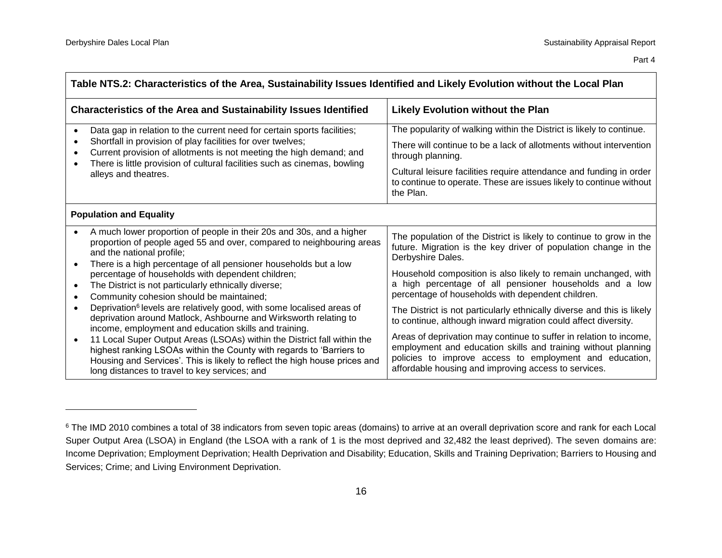| Table NTS.2: Characteristics of the Area, Sustainability Issues Identified and Likely Evolution without the Local Plan                                                          |                                                                                                                                                                                                                                                                                                                                                                                                                                                                                                               |                                                                                                                                                                                                                                                                                                                             |  |  |
|---------------------------------------------------------------------------------------------------------------------------------------------------------------------------------|---------------------------------------------------------------------------------------------------------------------------------------------------------------------------------------------------------------------------------------------------------------------------------------------------------------------------------------------------------------------------------------------------------------------------------------------------------------------------------------------------------------|-----------------------------------------------------------------------------------------------------------------------------------------------------------------------------------------------------------------------------------------------------------------------------------------------------------------------------|--|--|
|                                                                                                                                                                                 | <b>Characteristics of the Area and Sustainability Issues Identified</b>                                                                                                                                                                                                                                                                                                                                                                                                                                       | <b>Likely Evolution without the Plan</b>                                                                                                                                                                                                                                                                                    |  |  |
| $\bullet$<br>$\bullet$                                                                                                                                                          | Data gap in relation to the current need for certain sports facilities;<br>Shortfall in provision of play facilities for over twelves;<br>Current provision of allotments is not meeting the high demand; and<br>There is little provision of cultural facilities such as cinemas, bowling<br>alleys and theatres.                                                                                                                                                                                            | The popularity of walking within the District is likely to continue.<br>There will continue to be a lack of allotments without intervention<br>through planning.<br>Cultural leisure facilities require attendance and funding in order<br>to continue to operate. These are issues likely to continue without<br>the Plan. |  |  |
|                                                                                                                                                                                 | <b>Population and Equality</b>                                                                                                                                                                                                                                                                                                                                                                                                                                                                                |                                                                                                                                                                                                                                                                                                                             |  |  |
| $\bullet$<br>$\bullet$                                                                                                                                                          | A much lower proportion of people in their 20s and 30s, and a higher<br>proportion of people aged 55 and over, compared to neighbouring areas<br>and the national profile;<br>There is a high percentage of all pensioner households but a low                                                                                                                                                                                                                                                                | The population of the District is likely to continue to grow in the<br>future. Migration is the key driver of population change in the<br>Derbyshire Dales.                                                                                                                                                                 |  |  |
| percentage of households with dependent children;<br>The District is not particularly ethnically diverse;<br>$\bullet$<br>Community cohesion should be maintained;<br>$\bullet$ |                                                                                                                                                                                                                                                                                                                                                                                                                                                                                                               | Household composition is also likely to remain unchanged, with<br>a high percentage of all pensioner households and a low<br>percentage of households with dependent children.                                                                                                                                              |  |  |
|                                                                                                                                                                                 | Deprivation <sup>6</sup> levels are relatively good, with some localised areas of<br>deprivation around Matlock, Ashbourne and Wirksworth relating to<br>income, employment and education skills and training.<br>11 Local Super Output Areas (LSOAs) within the District fall within the<br>$\bullet$<br>highest ranking LSOAs within the County with regards to 'Barriers to<br>Housing and Services'. This is likely to reflect the high house prices and<br>long distances to travel to key services; and | The District is not particularly ethnically diverse and this is likely<br>to continue, although inward migration could affect diversity.                                                                                                                                                                                    |  |  |
|                                                                                                                                                                                 |                                                                                                                                                                                                                                                                                                                                                                                                                                                                                                               | Areas of deprivation may continue to suffer in relation to income,<br>employment and education skills and training without planning<br>policies to improve access to employment and education,<br>affordable housing and improving access to services.                                                                      |  |  |

<sup>&</sup>lt;sup>6</sup> The IMD 2010 combines a total of 38 indicators from seven topic areas (domains) to arrive at an overall deprivation score and rank for each Local Super Output Area (LSOA) in England (the LSOA with a rank of 1 is the most deprived and 32,482 the least deprived). The seven domains are: Income Deprivation; Employment Deprivation; Health Deprivation and Disability; Education, Skills and Training Deprivation; Barriers to Housing and Services; Crime; and Living Environment Deprivation.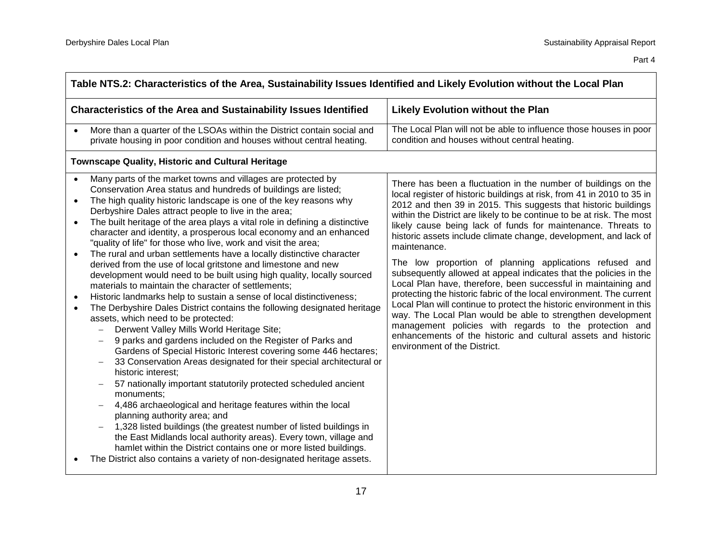┑

| Table NTS.2: Characteristics of the Area, Sustainability Issues Identified and Likely Evolution without the Local Plan                                                                                                                                                                                                                                                                                                                                                                                                                                                                                                                                                                                                                                                                                                                                                                                                                                                                                                                                                                                                                                                                                                                                                                                                                                                                                                                                                                                                                                                                                                                                                                                                                                                                 |                                                                                                                                                                                                                                                                                                                                                                                                                                                                                                                                                                                                                                                                                                                                                                                                                                                                                                                                                                                                                      |  |  |  |
|----------------------------------------------------------------------------------------------------------------------------------------------------------------------------------------------------------------------------------------------------------------------------------------------------------------------------------------------------------------------------------------------------------------------------------------------------------------------------------------------------------------------------------------------------------------------------------------------------------------------------------------------------------------------------------------------------------------------------------------------------------------------------------------------------------------------------------------------------------------------------------------------------------------------------------------------------------------------------------------------------------------------------------------------------------------------------------------------------------------------------------------------------------------------------------------------------------------------------------------------------------------------------------------------------------------------------------------------------------------------------------------------------------------------------------------------------------------------------------------------------------------------------------------------------------------------------------------------------------------------------------------------------------------------------------------------------------------------------------------------------------------------------------------|----------------------------------------------------------------------------------------------------------------------------------------------------------------------------------------------------------------------------------------------------------------------------------------------------------------------------------------------------------------------------------------------------------------------------------------------------------------------------------------------------------------------------------------------------------------------------------------------------------------------------------------------------------------------------------------------------------------------------------------------------------------------------------------------------------------------------------------------------------------------------------------------------------------------------------------------------------------------------------------------------------------------|--|--|--|
| <b>Characteristics of the Area and Sustainability Issues Identified</b>                                                                                                                                                                                                                                                                                                                                                                                                                                                                                                                                                                                                                                                                                                                                                                                                                                                                                                                                                                                                                                                                                                                                                                                                                                                                                                                                                                                                                                                                                                                                                                                                                                                                                                                | <b>Likely Evolution without the Plan</b>                                                                                                                                                                                                                                                                                                                                                                                                                                                                                                                                                                                                                                                                                                                                                                                                                                                                                                                                                                             |  |  |  |
| More than a quarter of the LSOAs within the District contain social and<br>private housing in poor condition and houses without central heating.                                                                                                                                                                                                                                                                                                                                                                                                                                                                                                                                                                                                                                                                                                                                                                                                                                                                                                                                                                                                                                                                                                                                                                                                                                                                                                                                                                                                                                                                                                                                                                                                                                       | The Local Plan will not be able to influence those houses in poor<br>condition and houses without central heating.                                                                                                                                                                                                                                                                                                                                                                                                                                                                                                                                                                                                                                                                                                                                                                                                                                                                                                   |  |  |  |
| <b>Townscape Quality, Historic and Cultural Heritage</b>                                                                                                                                                                                                                                                                                                                                                                                                                                                                                                                                                                                                                                                                                                                                                                                                                                                                                                                                                                                                                                                                                                                                                                                                                                                                                                                                                                                                                                                                                                                                                                                                                                                                                                                               |                                                                                                                                                                                                                                                                                                                                                                                                                                                                                                                                                                                                                                                                                                                                                                                                                                                                                                                                                                                                                      |  |  |  |
| Many parts of the market towns and villages are protected by<br>Conservation Area status and hundreds of buildings are listed;<br>The high quality historic landscape is one of the key reasons why<br>$\bullet$<br>Derbyshire Dales attract people to live in the area;<br>The built heritage of the area plays a vital role in defining a distinctive<br>character and identity, a prosperous local economy and an enhanced<br>"quality of life" for those who live, work and visit the area;<br>The rural and urban settlements have a locally distinctive character<br>$\bullet$<br>derived from the use of local gritstone and limestone and new<br>development would need to be built using high quality, locally sourced<br>materials to maintain the character of settlements;<br>Historic landmarks help to sustain a sense of local distinctiveness;<br>$\bullet$<br>The Derbyshire Dales District contains the following designated heritage<br>$\bullet$<br>assets, which need to be protected:<br>Derwent Valley Mills World Heritage Site;<br>9 parks and gardens included on the Register of Parks and<br>$\qquad \qquad -$<br>Gardens of Special Historic Interest covering some 446 hectares;<br>33 Conservation Areas designated for their special architectural or<br>historic interest:<br>57 nationally important statutorily protected scheduled ancient<br>monuments;<br>4,486 archaeological and heritage features within the local<br>planning authority area; and<br>1,328 listed buildings (the greatest number of listed buildings in<br>the East Midlands local authority areas). Every town, village and<br>hamlet within the District contains one or more listed buildings.<br>The District also contains a variety of non-designated heritage assets. | There has been a fluctuation in the number of buildings on the<br>local register of historic buildings at risk, from 41 in 2010 to 35 in<br>2012 and then 39 in 2015. This suggests that historic buildings<br>within the District are likely to be continue to be at risk. The most<br>likely cause being lack of funds for maintenance. Threats to<br>historic assets include climate change, development, and lack of<br>maintenance.<br>The low proportion of planning applications refused and<br>subsequently allowed at appeal indicates that the policies in the<br>Local Plan have, therefore, been successful in maintaining and<br>protecting the historic fabric of the local environment. The current<br>Local Plan will continue to protect the historic environment in this<br>way. The Local Plan would be able to strengthen development<br>management policies with regards to the protection and<br>enhancements of the historic and cultural assets and historic<br>environment of the District. |  |  |  |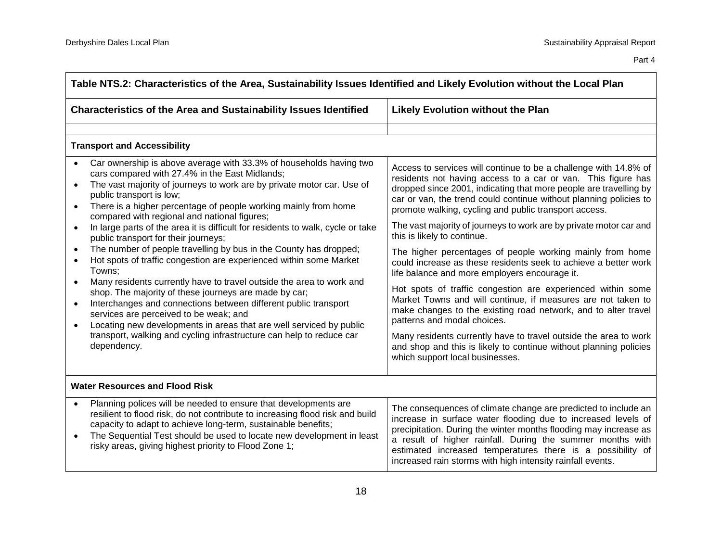| Table NTS.2: Characteristics of the Area, Sustainability Issues Identified and Likely Evolution without the Local Plan                                                                                                                                                                                                                                                                                                                                                                                                                                                                                                                                                                                                                                                                                                                                                                                                                                                                                                                    |                                                                                                                                                                                                                                                                                                                                                                                                                                                                                                                                                                                                                                                                                                                                                                                                                                                                                                                                                                                                                                       |  |  |
|-------------------------------------------------------------------------------------------------------------------------------------------------------------------------------------------------------------------------------------------------------------------------------------------------------------------------------------------------------------------------------------------------------------------------------------------------------------------------------------------------------------------------------------------------------------------------------------------------------------------------------------------------------------------------------------------------------------------------------------------------------------------------------------------------------------------------------------------------------------------------------------------------------------------------------------------------------------------------------------------------------------------------------------------|---------------------------------------------------------------------------------------------------------------------------------------------------------------------------------------------------------------------------------------------------------------------------------------------------------------------------------------------------------------------------------------------------------------------------------------------------------------------------------------------------------------------------------------------------------------------------------------------------------------------------------------------------------------------------------------------------------------------------------------------------------------------------------------------------------------------------------------------------------------------------------------------------------------------------------------------------------------------------------------------------------------------------------------|--|--|
| <b>Characteristics of the Area and Sustainability Issues Identified</b>                                                                                                                                                                                                                                                                                                                                                                                                                                                                                                                                                                                                                                                                                                                                                                                                                                                                                                                                                                   | <b>Likely Evolution without the Plan</b>                                                                                                                                                                                                                                                                                                                                                                                                                                                                                                                                                                                                                                                                                                                                                                                                                                                                                                                                                                                              |  |  |
|                                                                                                                                                                                                                                                                                                                                                                                                                                                                                                                                                                                                                                                                                                                                                                                                                                                                                                                                                                                                                                           |                                                                                                                                                                                                                                                                                                                                                                                                                                                                                                                                                                                                                                                                                                                                                                                                                                                                                                                                                                                                                                       |  |  |
| <b>Transport and Accessibility</b>                                                                                                                                                                                                                                                                                                                                                                                                                                                                                                                                                                                                                                                                                                                                                                                                                                                                                                                                                                                                        |                                                                                                                                                                                                                                                                                                                                                                                                                                                                                                                                                                                                                                                                                                                                                                                                                                                                                                                                                                                                                                       |  |  |
| Car ownership is above average with 33.3% of households having two<br>cars compared with 27.4% in the East Midlands;<br>The vast majority of journeys to work are by private motor car. Use of<br>public transport is low;<br>There is a higher percentage of people working mainly from home<br>compared with regional and national figures;<br>In large parts of the area it is difficult for residents to walk, cycle or take<br>public transport for their journeys;<br>The number of people travelling by bus in the County has dropped;<br>Hot spots of traffic congestion are experienced within some Market<br>Towns:<br>Many residents currently have to travel outside the area to work and<br>shop. The majority of these journeys are made by car;<br>Interchanges and connections between different public transport<br>services are perceived to be weak; and<br>Locating new developments in areas that are well serviced by public<br>transport, walking and cycling infrastructure can help to reduce car<br>dependency. | Access to services will continue to be a challenge with 14.8% of<br>residents not having access to a car or van. This figure has<br>dropped since 2001, indicating that more people are travelling by<br>car or van, the trend could continue without planning policies to<br>promote walking, cycling and public transport access.<br>The vast majority of journeys to work are by private motor car and<br>this is likely to continue.<br>The higher percentages of people working mainly from home<br>could increase as these residents seek to achieve a better work<br>life balance and more employers encourage it.<br>Hot spots of traffic congestion are experienced within some<br>Market Towns and will continue, if measures are not taken to<br>make changes to the existing road network, and to alter travel<br>patterns and modal choices.<br>Many residents currently have to travel outside the area to work<br>and shop and this is likely to continue without planning policies<br>which support local businesses. |  |  |
| <b>Water Resources and Flood Risk</b>                                                                                                                                                                                                                                                                                                                                                                                                                                                                                                                                                                                                                                                                                                                                                                                                                                                                                                                                                                                                     |                                                                                                                                                                                                                                                                                                                                                                                                                                                                                                                                                                                                                                                                                                                                                                                                                                                                                                                                                                                                                                       |  |  |
| Planning polices will be needed to ensure that developments are<br>resilient to flood risk, do not contribute to increasing flood risk and build<br>capacity to adapt to achieve long-term, sustainable benefits;<br>The Sequential Test should be used to locate new development in least<br>risky areas, giving highest priority to Flood Zone 1;                                                                                                                                                                                                                                                                                                                                                                                                                                                                                                                                                                                                                                                                                       | The consequences of climate change are predicted to include an<br>increase in surface water flooding due to increased levels of<br>precipitation. During the winter months flooding may increase as<br>a result of higher rainfall. During the summer months with<br>estimated increased temperatures there is a possibility of<br>increased rain storms with high intensity rainfall events.                                                                                                                                                                                                                                                                                                                                                                                                                                                                                                                                                                                                                                         |  |  |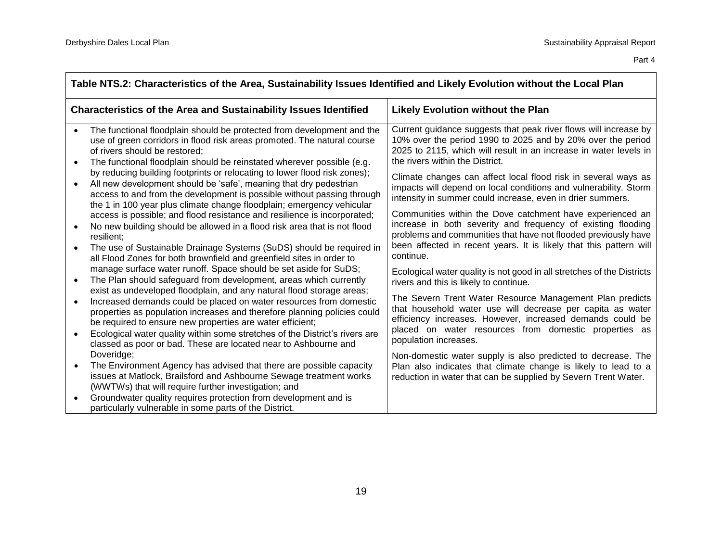| Table NTS.2: Characteristics of the Area, Sustainability Issues Identified and Likely Evolution without the Local Plan |                                                                                                                                                                                                                                                                                                                                                                                                                                        |                                                                                                                                                                                                                                                                                |  |
|------------------------------------------------------------------------------------------------------------------------|----------------------------------------------------------------------------------------------------------------------------------------------------------------------------------------------------------------------------------------------------------------------------------------------------------------------------------------------------------------------------------------------------------------------------------------|--------------------------------------------------------------------------------------------------------------------------------------------------------------------------------------------------------------------------------------------------------------------------------|--|
| <b>Characteristics of the Area and Sustainability Issues Identified</b>                                                |                                                                                                                                                                                                                                                                                                                                                                                                                                        | <b>Likely Evolution without the Plan</b>                                                                                                                                                                                                                                       |  |
| $\bullet$<br>$\bullet$                                                                                                 | The functional floodplain should be protected from development and the<br>use of green corridors in flood risk areas promoted. The natural course<br>of rivers should be restored;<br>The functional floodplain should be reinstated wherever possible (e.g.                                                                                                                                                                           | Current guidance suggests that peak river flows will increase by<br>10% over the period 1990 to 2025 and by 20% over the period<br>2025 to 2115, which will result in an increase in water levels in<br>the rivers within the District.                                        |  |
| $\bullet$                                                                                                              | by reducing building footprints or relocating to lower flood risk zones);<br>All new development should be 'safe', meaning that dry pedestrian<br>access to and from the development is possible without passing through<br>the 1 in 100 year plus climate change floodplain; emergency vehicular                                                                                                                                      | Climate changes can affect local flood risk in several ways as<br>impacts will depend on local conditions and vulnerability. Storm<br>intensity in summer could increase, even in drier summers.                                                                               |  |
| $\bullet$<br>$\bullet$                                                                                                 | access is possible; and flood resistance and resilience is incorporated;<br>No new building should be allowed in a flood risk area that is not flood<br>resilient;<br>The use of Sustainable Drainage Systems (SuDS) should be required in<br>all Flood Zones for both brownfield and greenfield sites in order to                                                                                                                     | Communities within the Dove catchment have experienced an<br>increase in both severity and frequency of existing flooding<br>problems and communities that have not flooded previously have<br>been affected in recent years. It is likely that this pattern will<br>continue. |  |
| $\bullet$                                                                                                              | manage surface water runoff. Space should be set aside for SuDS;<br>The Plan should safeguard from development, areas which currently                                                                                                                                                                                                                                                                                                  | Ecological water quality is not good in all stretches of the Districts<br>rivers and this is likely to continue.                                                                                                                                                               |  |
| $\bullet$<br>$\bullet$                                                                                                 | exist as undeveloped floodplain, and any natural flood storage areas;<br>Increased demands could be placed on water resources from domestic<br>properties as population increases and therefore planning policies could<br>be required to ensure new properties are water efficient;<br>Ecological water quality within some stretches of the District's rivers are<br>classed as poor or bad. These are located near to Ashbourne and | The Severn Trent Water Resource Management Plan predicts<br>that household water use will decrease per capita as water<br>efficiency increases. However, increased demands could be<br>placed on water resources from domestic properties as<br>population increases.          |  |
| $\bullet$                                                                                                              | Doveridge;<br>The Environment Agency has advised that there are possible capacity<br>issues at Matlock, Brailsford and Ashbourne Sewage treatment works<br>(WWTWs) that will require further investigation; and                                                                                                                                                                                                                        | Non-domestic water supply is also predicted to decrease. The<br>Plan also indicates that climate change is likely to lead to a<br>reduction in water that can be supplied by Severn Trent Water.                                                                               |  |
| $\bullet$                                                                                                              | Groundwater quality requires protection from development and is<br>particularly vulnerable in some parts of the District.                                                                                                                                                                                                                                                                                                              |                                                                                                                                                                                                                                                                                |  |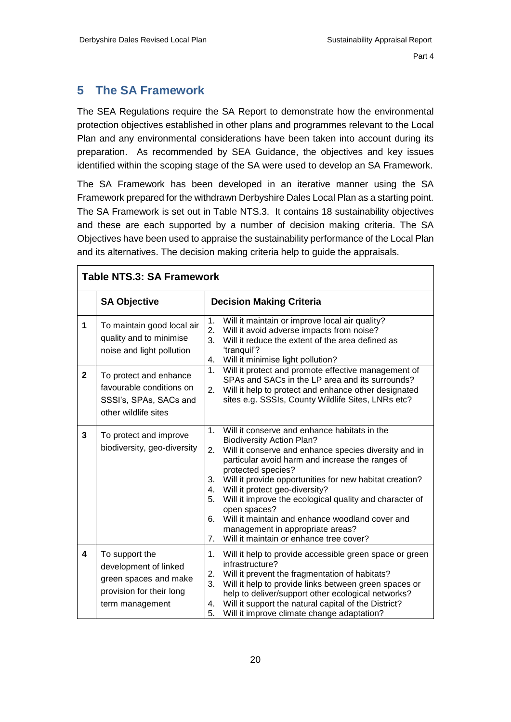#### <span id="page-22-0"></span>**5 The SA Framework**

The SEA Regulations require the SA Report to demonstrate how the environmental protection objectives established in other plans and programmes relevant to the Local Plan and any environmental considerations have been taken into account during its preparation. As recommended by SEA Guidance, the objectives and key issues identified within the scoping stage of the SA were used to develop an SA Framework.

The SA Framework has been developed in an iterative manner using the SA Framework prepared for the withdrawn Derbyshire Dales Local Plan as a starting point. The SA Framework is set out in Table NTS.3. It contains 18 sustainability objectives and these are each supported by a number of decision making criteria. The SA Objectives have been used to appraise the sustainability performance of the Local Plan and its alternatives. The decision making criteria help to guide the appraisals.

| <b>Table NTS.3: SA Framework</b> |                                                                                                                 |                                                                                                                                                                                                                                                                                                                                                                                                                                                                                                                                                                                     |  |  |
|----------------------------------|-----------------------------------------------------------------------------------------------------------------|-------------------------------------------------------------------------------------------------------------------------------------------------------------------------------------------------------------------------------------------------------------------------------------------------------------------------------------------------------------------------------------------------------------------------------------------------------------------------------------------------------------------------------------------------------------------------------------|--|--|
|                                  | <b>SA Objective</b>                                                                                             | <b>Decision Making Criteria</b>                                                                                                                                                                                                                                                                                                                                                                                                                                                                                                                                                     |  |  |
| 1                                | To maintain good local air<br>quality and to minimise<br>noise and light pollution                              | 1.<br>Will it maintain or improve local air quality?<br>2.<br>Will it avoid adverse impacts from noise?<br>Will it reduce the extent of the area defined as<br>3.<br>'tranquil'?<br>Will it minimise light pollution?<br>4.                                                                                                                                                                                                                                                                                                                                                         |  |  |
| $\mathbf{2}$                     | To protect and enhance<br>favourable conditions on<br>SSSI's, SPAs, SACs and<br>other wildlife sites            | Will it protect and promote effective management of<br>1.<br>SPAs and SACs in the LP area and its surrounds?<br>Will it help to protect and enhance other designated<br>2.<br>sites e.g. SSSIs, County Wildlife Sites, LNRs etc?                                                                                                                                                                                                                                                                                                                                                    |  |  |
| 3                                | To protect and improve<br>biodiversity, geo-diversity                                                           | Will it conserve and enhance habitats in the<br>1 <sub>1</sub><br><b>Biodiversity Action Plan?</b><br>2.<br>Will it conserve and enhance species diversity and in<br>particular avoid harm and increase the ranges of<br>protected species?<br>Will it provide opportunities for new habitat creation?<br>3.<br>Will it protect geo-diversity?<br>4.<br>Will it improve the ecological quality and character of<br>5.<br>open spaces?<br>Will it maintain and enhance woodland cover and<br>6.<br>management in appropriate areas?<br>Will it maintain or enhance tree cover?<br>7. |  |  |
| 4                                | To support the<br>development of linked<br>green spaces and make<br>provision for their long<br>term management | Will it help to provide accessible green space or green<br>1.<br>infrastructure?<br>2.<br>Will it prevent the fragmentation of habitats?<br>3.<br>Will it help to provide links between green spaces or<br>help to deliver/support other ecological networks?<br>Will it support the natural capital of the District?<br>4.<br>5.<br>Will it improve climate change adaptation?                                                                                                                                                                                                     |  |  |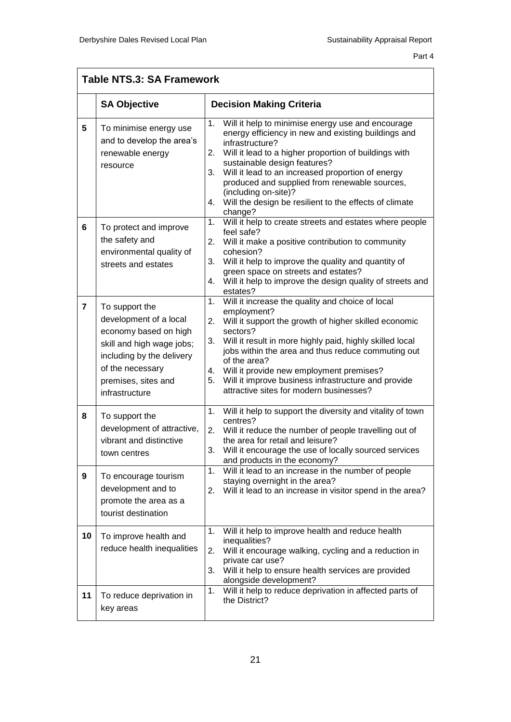$\overline{\Gamma}$ 

| <b>Table NTS.3: SA Framework</b> |                                                                                                                                                                                          |                                                                                                                                                                                                                                                                                                                                                                                                                                                    |  |
|----------------------------------|------------------------------------------------------------------------------------------------------------------------------------------------------------------------------------------|----------------------------------------------------------------------------------------------------------------------------------------------------------------------------------------------------------------------------------------------------------------------------------------------------------------------------------------------------------------------------------------------------------------------------------------------------|--|
|                                  | <b>SA Objective</b>                                                                                                                                                                      | <b>Decision Making Criteria</b>                                                                                                                                                                                                                                                                                                                                                                                                                    |  |
| 5                                | To minimise energy use<br>and to develop the area's<br>renewable energy<br>resource                                                                                                      | Will it help to minimise energy use and encourage<br>1.<br>energy efficiency in new and existing buildings and<br>infrastructure?<br>Will it lead to a higher proportion of buildings with<br>2.<br>sustainable design features?<br>Will it lead to an increased proportion of energy<br>3.<br>produced and supplied from renewable sources,<br>(including on-site)?<br>Will the design be resilient to the effects of climate<br>4.<br>change?    |  |
| 6                                | To protect and improve<br>the safety and<br>environmental quality of<br>streets and estates                                                                                              | 1.<br>Will it help to create streets and estates where people<br>feel safe?<br>2.<br>Will it make a positive contribution to community<br>cohesion?<br>3.<br>Will it help to improve the quality and quantity of<br>green space on streets and estates?<br>Will it help to improve the design quality of streets and<br>4.<br>estates?                                                                                                             |  |
| $\overline{7}$                   | To support the<br>development of a local<br>economy based on high<br>skill and high wage jobs;<br>including by the delivery<br>of the necessary<br>premises, sites and<br>infrastructure | Will it increase the quality and choice of local<br>1.<br>employment?<br>2.<br>Will it support the growth of higher skilled economic<br>sectors?<br>3.<br>Will it result in more highly paid, highly skilled local<br>jobs within the area and thus reduce commuting out<br>of the area?<br>Will it provide new employment premises?<br>4.<br>Will it improve business infrastructure and provide<br>5.<br>attractive sites for modern businesses? |  |
| 8<br>9                           | To support the<br>development of attractive,<br>vibrant and distinctive<br>town centres<br>To encourage tourism<br>development and to<br>promote the area as a                           | Will it help to support the diversity and vitality of town<br>1.<br>centres?<br>Will it reduce the number of people travelling out of<br>2.<br>the area for retail and leisure?<br>3.<br>Will it encourage the use of locally sourced services<br>and products in the economy?<br>Will it lead to an increase in the number of people<br>1.<br>staying overnight in the area?<br>2.<br>Will it lead to an increase in visitor spend in the area?   |  |
| 10                               | tourist destination<br>To improve health and<br>reduce health inequalities                                                                                                               | Will it help to improve health and reduce health<br>1.<br>inequalities?<br>2.<br>Will it encourage walking, cycling and a reduction in<br>private car use?<br>3.<br>Will it help to ensure health services are provided<br>alongside development?                                                                                                                                                                                                  |  |
| 11                               | To reduce deprivation in<br>key areas                                                                                                                                                    | Will it help to reduce deprivation in affected parts of<br>1.<br>the District?                                                                                                                                                                                                                                                                                                                                                                     |  |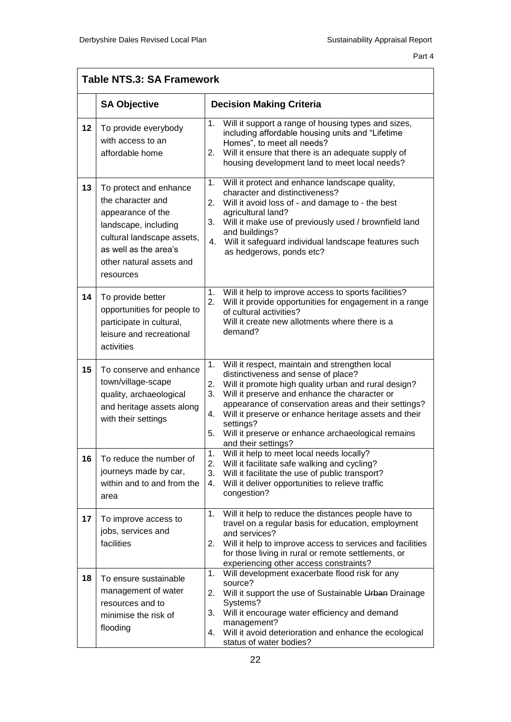|    | <b>Table NTS.3: SA Framework</b>                                                                                                                                                         |                                                                                                                                                                                                                                                                                                                                                                                                                                         |  |  |  |
|----|------------------------------------------------------------------------------------------------------------------------------------------------------------------------------------------|-----------------------------------------------------------------------------------------------------------------------------------------------------------------------------------------------------------------------------------------------------------------------------------------------------------------------------------------------------------------------------------------------------------------------------------------|--|--|--|
|    | <b>SA Objective</b>                                                                                                                                                                      | <b>Decision Making Criteria</b>                                                                                                                                                                                                                                                                                                                                                                                                         |  |  |  |
| 12 | To provide everybody<br>with access to an<br>affordable home                                                                                                                             | 1.<br>Will it support a range of housing types and sizes,<br>including affordable housing units and "Lifetime<br>Homes", to meet all needs?<br>2.<br>Will it ensure that there is an adequate supply of<br>housing development land to meet local needs?                                                                                                                                                                                |  |  |  |
| 13 | To protect and enhance<br>the character and<br>appearance of the<br>landscape, including<br>cultural landscape assets,<br>as well as the area's<br>other natural assets and<br>resources | 1.<br>Will it protect and enhance landscape quality,<br>character and distinctiveness?<br>2.<br>Will it avoid loss of - and damage to - the best<br>agricultural land?<br>Will it make use of previously used / brownfield land<br>3.<br>and buildings?<br>4. Will it safeguard individual landscape features such<br>as hedgerows, ponds etc?                                                                                          |  |  |  |
| 14 | To provide better<br>opportunities for people to<br>participate in cultural,<br>leisure and recreational<br>activities                                                                   | Will it help to improve access to sports facilities?<br>1.<br>2.<br>Will it provide opportunities for engagement in a range<br>of cultural activities?<br>Will it create new allotments where there is a<br>demand?                                                                                                                                                                                                                     |  |  |  |
| 15 | To conserve and enhance<br>town/village-scape<br>quality, archaeological<br>and heritage assets along<br>with their settings                                                             | Will it respect, maintain and strengthen local<br>1.<br>distinctiveness and sense of place?<br>2.<br>Will it promote high quality urban and rural design?<br>3.<br>Will it preserve and enhance the character or<br>appearance of conservation areas and their settings?<br>Will it preserve or enhance heritage assets and their<br>4.<br>settings?<br>5.<br>Will it preserve or enhance archaeological remains<br>and their settings? |  |  |  |
| 16 | To reduce the number of<br>journeys made by car,<br>within and to and from the<br>area                                                                                                   | Will it help to meet local needs locally?<br>1.<br>2.<br>Will it facilitate safe walking and cycling?<br>3.<br>Will it facilitate the use of public transport?<br>4.<br>Will it deliver opportunities to relieve traffic<br>congestion?                                                                                                                                                                                                 |  |  |  |
| 17 | To improve access to<br>jobs, services and<br>facilities                                                                                                                                 | Will it help to reduce the distances people have to<br>1.<br>travel on a regular basis for education, employment<br>and services?<br>2.<br>Will it help to improve access to services and facilities<br>for those living in rural or remote settlements, or<br>experiencing other access constraints?                                                                                                                                   |  |  |  |
| 18 | To ensure sustainable<br>management of water<br>resources and to<br>minimise the risk of<br>flooding                                                                                     | Will development exacerbate flood risk for any<br>1.<br>source?<br>2.<br>Will it support the use of Sustainable Urban Drainage<br>Systems?<br>3.<br>Will it encourage water efficiency and demand<br>management?<br>Will it avoid deterioration and enhance the ecological<br>4.<br>status of water bodies?                                                                                                                             |  |  |  |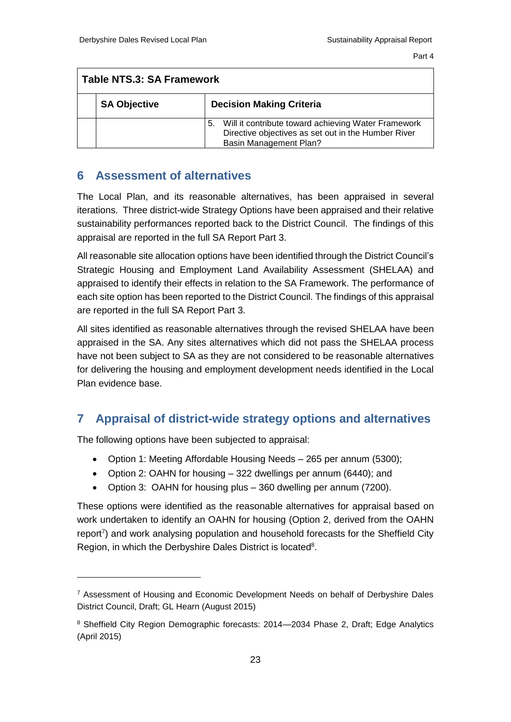<span id="page-25-0"></span>

| Table NTS.3: SA Framework |                                                                                                                                                   |  |  |
|---------------------------|---------------------------------------------------------------------------------------------------------------------------------------------------|--|--|
|                           | <b>Decision Making Criteria</b><br><b>SA Objective</b>                                                                                            |  |  |
|                           | Will it contribute toward achieving Water Framework<br>5.<br>Directive objectives as set out in the Humber River<br><b>Basin Management Plan?</b> |  |  |

#### **6 Assessment of alternatives**

The Local Plan, and its reasonable alternatives, has been appraised in several iterations. Three district-wide Strategy Options have been appraised and their relative sustainability performances reported back to the District Council. The findings of this appraisal are reported in the full SA Report Part 3.

All reasonable site allocation options have been identified through the District Council's Strategic Housing and Employment Land Availability Assessment (SHELAA) and appraised to identify their effects in relation to the SA Framework. The performance of each site option has been reported to the District Council. The findings of this appraisal are reported in the full SA Report Part 3.

<span id="page-25-1"></span>All sites identified as reasonable alternatives through the revised SHELAA have been appraised in the SA. Any sites alternatives which did not pass the SHELAA process have not been subject to SA as they are not considered to be reasonable alternatives for delivering the housing and employment development needs identified in the Local Plan evidence base.

## **7 Appraisal of district-wide strategy options and alternatives**

The following options have been subjected to appraisal:

- Option 1: Meeting Affordable Housing Needs 265 per annum (5300);
- Option 2: OAHN for housing 322 dwellings per annum (6440); and
- Option 3: OAHN for housing plus 360 dwelling per annum (7200).

These options were identified as the reasonable alternatives for appraisal based on work undertaken to identify an OAHN for housing (Option 2, derived from the OAHN report<sup>7</sup>) and work analysing population and household forecasts for the Sheffield City Region, in which the Derbyshire Dales District is located<sup>8</sup>.

<sup>7</sup> Assessment of Housing and Economic Development Needs on behalf of Derbyshire Dales District Council, Draft; GL Hearn (August 2015)

<sup>8</sup> Sheffield City Region Demographic forecasts: 2014—2034 Phase 2, Draft; Edge Analytics (April 2015)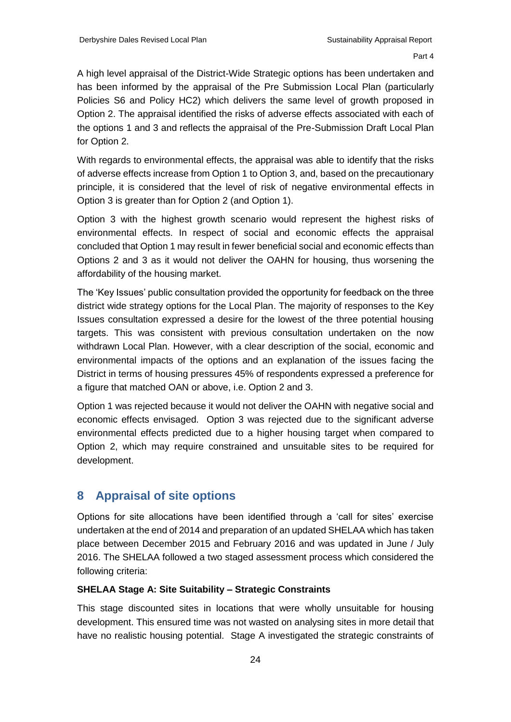A high level appraisal of the District-Wide Strategic options has been undertaken and has been informed by the appraisal of the Pre Submission Local Plan (particularly Policies S6 and Policy HC2) which delivers the same level of growth proposed in Option 2. The appraisal identified the risks of adverse effects associated with each of the options 1 and 3 and reflects the appraisal of the Pre-Submission Draft Local Plan for Option 2.

With regards to environmental effects, the appraisal was able to identify that the risks of adverse effects increase from Option 1 to Option 3, and, based on the precautionary principle, it is considered that the level of risk of negative environmental effects in Option 3 is greater than for Option 2 (and Option 1).

Option 3 with the highest growth scenario would represent the highest risks of environmental effects. In respect of social and economic effects the appraisal concluded that Option 1 may result in fewer beneficial social and economic effects than Options 2 and 3 as it would not deliver the OAHN for housing, thus worsening the affordability of the housing market.

The 'Key Issues' public consultation provided the opportunity for feedback on the three district wide strategy options for the Local Plan. The majority of responses to the Key Issues consultation expressed a desire for the lowest of the three potential housing targets. This was consistent with previous consultation undertaken on the now withdrawn Local Plan. However, with a clear description of the social, economic and environmental impacts of the options and an explanation of the issues facing the District in terms of housing pressures 45% of respondents expressed a preference for a figure that matched OAN or above, i.e. Option 2 and 3.

<span id="page-26-0"></span>Option 1 was rejected because it would not deliver the OAHN with negative social and economic effects envisaged. Option 3 was rejected due to the significant adverse environmental effects predicted due to a higher housing target when compared to Option 2, which may require constrained and unsuitable sites to be required for development.

#### **8 Appraisal of site options**

Options for site allocations have been identified through a 'call for sites' exercise undertaken at the end of 2014 and preparation of an updated SHELAA which has taken place between December 2015 and February 2016 and was updated in June / July 2016. The SHELAA followed a two staged assessment process which considered the following criteria:

#### **SHELAA Stage A: Site Suitability – Strategic Constraints**

This stage discounted sites in locations that were wholly unsuitable for housing development. This ensured time was not wasted on analysing sites in more detail that have no realistic housing potential. Stage A investigated the strategic constraints of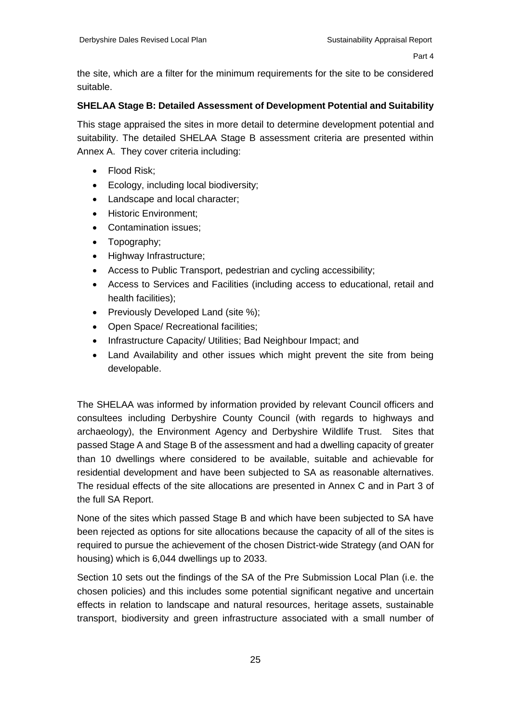the site, which are a filter for the minimum requirements for the site to be considered suitable.

#### **SHELAA Stage B: Detailed Assessment of Development Potential and Suitability**

This stage appraised the sites in more detail to determine development potential and suitability. The detailed SHELAA Stage B assessment criteria are presented within Annex A. They cover criteria including:

- Flood Risk;
- Ecology, including local biodiversity;
- Landscape and local character;
- Historic Environment:
- Contamination issues:
- Topography:
- Highway Infrastructure;
- Access to Public Transport, pedestrian and cycling accessibility;
- Access to Services and Facilities (including access to educational, retail and health facilities);
- Previously Developed Land (site %);
- Open Space/ Recreational facilities;
- Infrastructure Capacity/ Utilities; Bad Neighbour Impact; and
- Land Availability and other issues which might prevent the site from being developable.

The SHELAA was informed by information provided by relevant Council officers and consultees including Derbyshire County Council (with regards to highways and archaeology), the Environment Agency and Derbyshire Wildlife Trust. Sites that passed Stage A and Stage B of the assessment and had a dwelling capacity of greater than 10 dwellings where considered to be available, suitable and achievable for residential development and have been subjected to SA as reasonable alternatives. The residual effects of the site allocations are presented in Annex C and in Part 3 of the full SA Report.

None of the sites which passed Stage B and which have been subjected to SA have been rejected as options for site allocations because the capacity of all of the sites is required to pursue the achievement of the chosen District-wide Strategy (and OAN for housing) which is 6,044 dwellings up to 2033.

Section 10 sets out the findings of the SA of the Pre Submission Local Plan (i.e. the chosen policies) and this includes some potential significant negative and uncertain effects in relation to landscape and natural resources, heritage assets, sustainable transport, biodiversity and green infrastructure associated with a small number of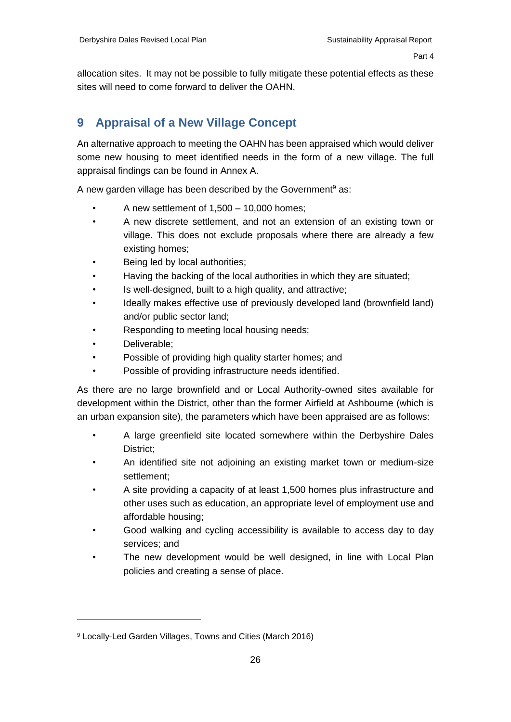<span id="page-28-0"></span>allocation sites. It may not be possible to fully mitigate these potential effects as these sites will need to come forward to deliver the OAHN.

# **9 Appraisal of a New Village Concept**

An alternative approach to meeting the OAHN has been appraised which would deliver some new housing to meet identified needs in the form of a new village. The full appraisal findings can be found in Annex A.

A new garden village has been described by the Government<sup>9</sup> as:

- A new settlement of  $1,500 10,000$  homes;
- A new discrete settlement, and not an extension of an existing town or village. This does not exclude proposals where there are already a few existing homes;
- Being led by local authorities;
- Having the backing of the local authorities in which they are situated;
- Is well-designed, built to a high quality, and attractive;
- Ideally makes effective use of previously developed land (brownfield land) and/or public sector land;
- Responding to meeting local housing needs;
- Deliverable;

- Possible of providing high quality starter homes; and
- Possible of providing infrastructure needs identified.

As there are no large brownfield and or Local Authority-owned sites available for development within the District, other than the former Airfield at Ashbourne (which is an urban expansion site), the parameters which have been appraised are as follows:

- A large greenfield site located somewhere within the Derbyshire Dales District;
- An identified site not adjoining an existing market town or medium-size settlement;
- A site providing a capacity of at least 1,500 homes plus infrastructure and other uses such as education, an appropriate level of employment use and affordable housing;
- Good walking and cycling accessibility is available to access day to day services; and
- The new development would be well designed, in line with Local Plan policies and creating a sense of place.

<sup>9</sup> Locally-Led Garden Villages, Towns and Cities (March 2016)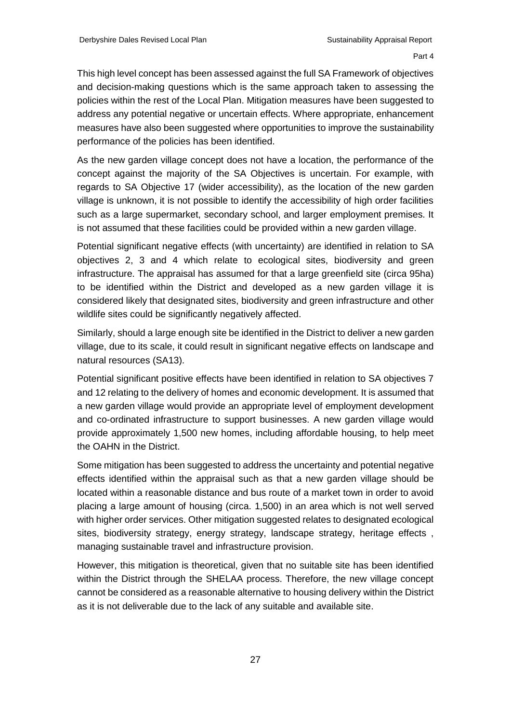This high level concept has been assessed against the full SA Framework of objectives and decision-making questions which is the same approach taken to assessing the policies within the rest of the Local Plan. Mitigation measures have been suggested to address any potential negative or uncertain effects. Where appropriate, enhancement measures have also been suggested where opportunities to improve the sustainability performance of the policies has been identified.

As the new garden village concept does not have a location, the performance of the concept against the majority of the SA Objectives is uncertain. For example, with regards to SA Objective 17 (wider accessibility), as the location of the new garden village is unknown, it is not possible to identify the accessibility of high order facilities such as a large supermarket, secondary school, and larger employment premises. It is not assumed that these facilities could be provided within a new garden village.

Potential significant negative effects (with uncertainty) are identified in relation to SA objectives 2, 3 and 4 which relate to ecological sites, biodiversity and green infrastructure. The appraisal has assumed for that a large greenfield site (circa 95ha) to be identified within the District and developed as a new garden village it is considered likely that designated sites, biodiversity and green infrastructure and other wildlife sites could be significantly negatively affected.

Similarly, should a large enough site be identified in the District to deliver a new garden village, due to its scale, it could result in significant negative effects on landscape and natural resources (SA13).

Potential significant positive effects have been identified in relation to SA objectives 7 and 12 relating to the delivery of homes and economic development. It is assumed that a new garden village would provide an appropriate level of employment development and co-ordinated infrastructure to support businesses. A new garden village would provide approximately 1,500 new homes, including affordable housing, to help meet the OAHN in the District.

Some mitigation has been suggested to address the uncertainty and potential negative effects identified within the appraisal such as that a new garden village should be located within a reasonable distance and bus route of a market town in order to avoid placing a large amount of housing (circa. 1,500) in an area which is not well served with higher order services. Other mitigation suggested relates to designated ecological sites, biodiversity strategy, energy strategy, landscape strategy, heritage effects , managing sustainable travel and infrastructure provision.

However, this mitigation is theoretical, given that no suitable site has been identified within the District through the SHELAA process. Therefore, the new village concept cannot be considered as a reasonable alternative to housing delivery within the District as it is not deliverable due to the lack of any suitable and available site.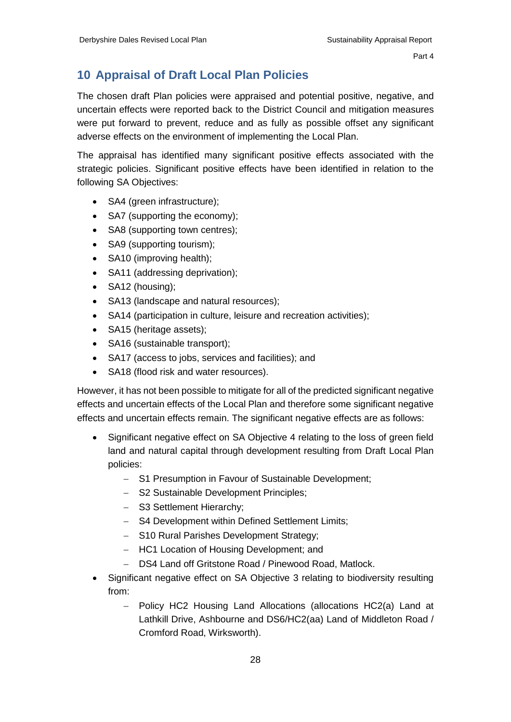#### <span id="page-30-0"></span>**10 Appraisal of Draft Local Plan Policies**

The chosen draft Plan policies were appraised and potential positive, negative, and uncertain effects were reported back to the District Council and mitigation measures were put forward to prevent, reduce and as fully as possible offset any significant adverse effects on the environment of implementing the Local Plan.

The appraisal has identified many significant positive effects associated with the strategic policies. Significant positive effects have been identified in relation to the following SA Objectives:

- SA4 (green infrastructure);
- SA7 (supporting the economy);
- SA8 (supporting town centres);
- SA9 (supporting tourism);
- SA10 (improving health):
- SA11 (addressing deprivation);
- SA12 (housing);
- SA13 (landscape and natural resources);
- SA14 (participation in culture, leisure and recreation activities);
- SA15 (heritage assets);
- SA16 (sustainable transport);
- SA17 (access to jobs, services and facilities); and
- SA18 (flood risk and water resources).

However, it has not been possible to mitigate for all of the predicted significant negative effects and uncertain effects of the Local Plan and therefore some significant negative effects and uncertain effects remain. The significant negative effects are as follows:

- Significant negative effect on SA Objective 4 relating to the loss of green field land and natural capital through development resulting from Draft Local Plan policies:
	- S1 Presumption in Favour of Sustainable Development;
	- S2 Sustainable Development Principles;
	- S3 Settlement Hierarchy;
	- S4 Development within Defined Settlement Limits;
	- S10 Rural Parishes Development Strategy;
	- HC1 Location of Housing Development; and
	- DS4 Land off Gritstone Road / Pinewood Road, Matlock.
- Significant negative effect on SA Objective 3 relating to biodiversity resulting from:
	- Policy HC2 Housing Land Allocations (allocations HC2(a) Land at Lathkill Drive, Ashbourne and DS6/HC2(aa) Land of Middleton Road / Cromford Road, Wirksworth).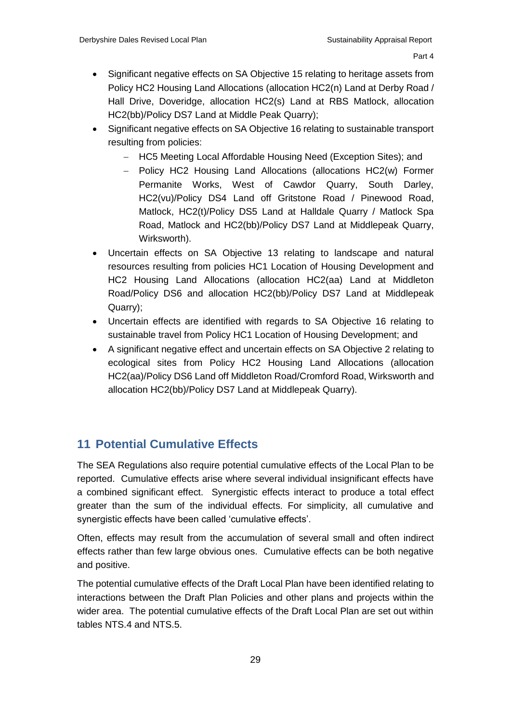- Significant negative effects on SA Objective 15 relating to heritage assets from Policy HC2 Housing Land Allocations (allocation HC2(n) Land at Derby Road / Hall Drive, Doveridge, allocation HC2(s) Land at RBS Matlock, allocation HC2(bb)/Policy DS7 Land at Middle Peak Quarry);
- Significant negative effects on SA Objective 16 relating to sustainable transport resulting from policies:
	- HC5 Meeting Local Affordable Housing Need (Exception Sites); and
	- Policy HC2 Housing Land Allocations (allocations HC2(w) Former Permanite Works, West of Cawdor Quarry, South Darley, HC2(vu)/Policy DS4 Land off Gritstone Road / Pinewood Road, Matlock, HC2(t)/Policy DS5 Land at Halldale Quarry / Matlock Spa Road, Matlock and HC2(bb)/Policy DS7 Land at Middlepeak Quarry, Wirksworth).
- Uncertain effects on SA Objective 13 relating to landscape and natural resources resulting from policies HC1 Location of Housing Development and HC2 Housing Land Allocations (allocation HC2(aa) Land at Middleton Road/Policy DS6 and allocation HC2(bb)/Policy DS7 Land at Middlepeak Quarry);
- Uncertain effects are identified with regards to SA Objective 16 relating to sustainable travel from Policy HC1 Location of Housing Development; and
- <span id="page-31-0"></span> A significant negative effect and uncertain effects on SA Objective 2 relating to ecological sites from Policy HC2 Housing Land Allocations (allocation HC2(aa)/Policy DS6 Land off Middleton Road/Cromford Road, Wirksworth and allocation HC2(bb)/Policy DS7 Land at Middlepeak Quarry).

## **11 Potential Cumulative Effects**

The SEA Regulations also require potential cumulative effects of the Local Plan to be reported. Cumulative effects arise where several individual insignificant effects have a combined significant effect. Synergistic effects interact to produce a total effect greater than the sum of the individual effects. For simplicity, all cumulative and synergistic effects have been called 'cumulative effects'.

Often, effects may result from the accumulation of several small and often indirect effects rather than few large obvious ones. Cumulative effects can be both negative and positive.

The potential cumulative effects of the Draft Local Plan have been identified relating to interactions between the Draft Plan Policies and other plans and projects within the wider area. The potential cumulative effects of the Draft Local Plan are set out within tables NTS.4 and NTS.5.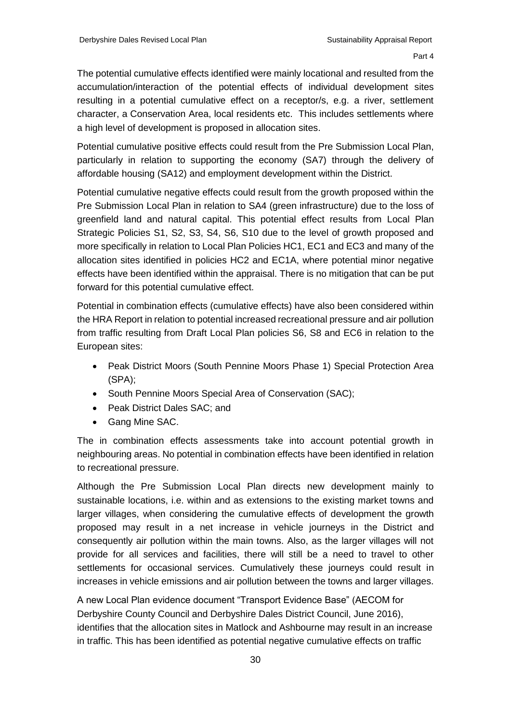The potential cumulative effects identified were mainly locational and resulted from the accumulation/interaction of the potential effects of individual development sites resulting in a potential cumulative effect on a receptor/s, e.g. a river, settlement character, a Conservation Area, local residents etc. This includes settlements where a high level of development is proposed in allocation sites.

Potential cumulative positive effects could result from the Pre Submission Local Plan, particularly in relation to supporting the economy (SA7) through the delivery of affordable housing (SA12) and employment development within the District.

Potential cumulative negative effects could result from the growth proposed within the Pre Submission Local Plan in relation to SA4 (green infrastructure) due to the loss of greenfield land and natural capital. This potential effect results from Local Plan Strategic Policies S1, S2, S3, S4, S6, S10 due to the level of growth proposed and more specifically in relation to Local Plan Policies HC1, EC1 and EC3 and many of the allocation sites identified in policies HC2 and EC1A, where potential minor negative effects have been identified within the appraisal. There is no mitigation that can be put forward for this potential cumulative effect.

Potential in combination effects (cumulative effects) have also been considered within the HRA Report in relation to potential increased recreational pressure and air pollution from traffic resulting from Draft Local Plan policies S6, S8 and EC6 in relation to the European sites:

- Peak District Moors (South Pennine Moors Phase 1) Special Protection Area (SPA);
- South Pennine Moors Special Area of Conservation (SAC);
- Peak District Dales SAC; and
- Gang Mine SAC.

The in combination effects assessments take into account potential growth in neighbouring areas. No potential in combination effects have been identified in relation to recreational pressure.

Although the Pre Submission Local Plan directs new development mainly to sustainable locations, i.e. within and as extensions to the existing market towns and larger villages, when considering the cumulative effects of development the growth proposed may result in a net increase in vehicle journeys in the District and consequently air pollution within the main towns. Also, as the larger villages will not provide for all services and facilities, there will still be a need to travel to other settlements for occasional services. Cumulatively these journeys could result in increases in vehicle emissions and air pollution between the towns and larger villages.

A new Local Plan evidence document "Transport Evidence Base" (AECOM for Derbyshire County Council and Derbyshire Dales District Council, June 2016), identifies that the allocation sites in Matlock and Ashbourne may result in an increase in traffic. This has been identified as potential negative cumulative effects on traffic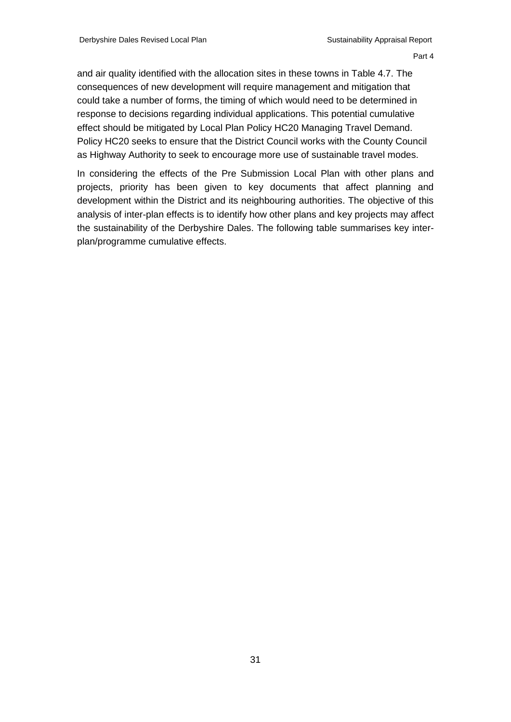and air quality identified with the allocation sites in these towns in Table 4.7. The consequences of new development will require management and mitigation that could take a number of forms, the timing of which would need to be determined in response to decisions regarding individual applications. This potential cumulative effect should be mitigated by Local Plan Policy HC20 Managing Travel Demand. Policy HC20 seeks to ensure that the District Council works with the County Council as Highway Authority to seek to encourage more use of sustainable travel modes.

In considering the effects of the Pre Submission Local Plan with other plans and projects, priority has been given to key documents that affect planning and development within the District and its neighbouring authorities. The objective of this analysis of inter-plan effects is to identify how other plans and key projects may affect the sustainability of the Derbyshire Dales. The following table summarises key interplan/programme cumulative effects.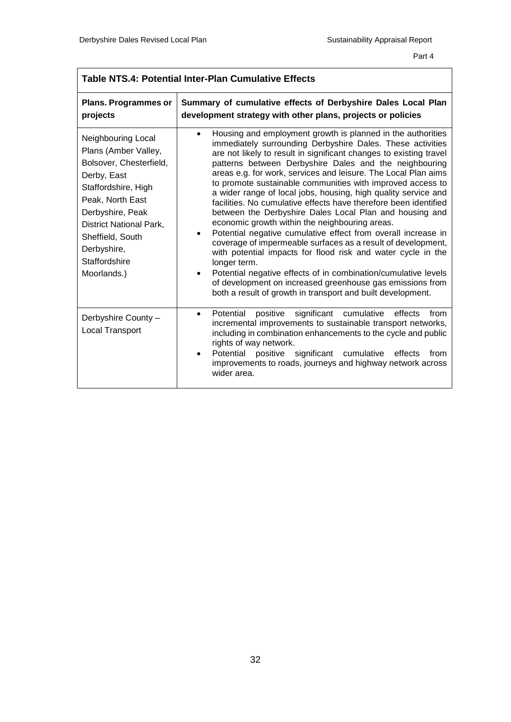| <b>Plans. Programmes or</b><br>projects                                                                                                                                                                                                           | Summary of cumulative effects of Derbyshire Dales Local Plan<br>development strategy with other plans, projects or policies                                                                                                                                                                                                                                                                                                                                                                                                                                                                                                                                                                                                                                                                                                                                                                                                                                                                                                                                 |  |  |  |
|---------------------------------------------------------------------------------------------------------------------------------------------------------------------------------------------------------------------------------------------------|-------------------------------------------------------------------------------------------------------------------------------------------------------------------------------------------------------------------------------------------------------------------------------------------------------------------------------------------------------------------------------------------------------------------------------------------------------------------------------------------------------------------------------------------------------------------------------------------------------------------------------------------------------------------------------------------------------------------------------------------------------------------------------------------------------------------------------------------------------------------------------------------------------------------------------------------------------------------------------------------------------------------------------------------------------------|--|--|--|
| Neighbouring Local<br>Plans (Amber Valley,<br>Bolsover, Chesterfield,<br>Derby, East<br>Staffordshire, High<br>Peak, North East<br>Derbyshire, Peak<br>District National Park,<br>Sheffield, South<br>Derbyshire,<br>Staffordshire<br>Moorlands.) | Housing and employment growth is planned in the authorities<br>immediately surrounding Derbyshire Dales. These activities<br>are not likely to result in significant changes to existing travel<br>patterns between Derbyshire Dales and the neighbouring<br>areas e.g. for work, services and leisure. The Local Plan aims<br>to promote sustainable communities with improved access to<br>a wider range of local jobs, housing, high quality service and<br>facilities. No cumulative effects have therefore been identified<br>between the Derbyshire Dales Local Plan and housing and<br>economic growth within the neighbouring areas.<br>Potential negative cumulative effect from overall increase in<br>coverage of impermeable surfaces as a result of development,<br>with potential impacts for flood risk and water cycle in the<br>longer term.<br>Potential negative effects of in combination/cumulative levels<br>of development on increased greenhouse gas emissions from<br>both a result of growth in transport and built development. |  |  |  |
| Derbyshire County -<br>Local Transport                                                                                                                                                                                                            | significant cumulative<br>positive<br>Potential<br>effects<br>from<br>$\bullet$<br>incremental improvements to sustainable transport networks,<br>including in combination enhancements to the cycle and public<br>rights of way network.<br>Potential positive significant cumulative<br>effects<br>from<br>improvements to roads, journeys and highway network across<br>wider area.                                                                                                                                                                                                                                                                                                                                                                                                                                                                                                                                                                                                                                                                      |  |  |  |

#### **Table NTS.4: Potential Inter-Plan Cumulative Effects**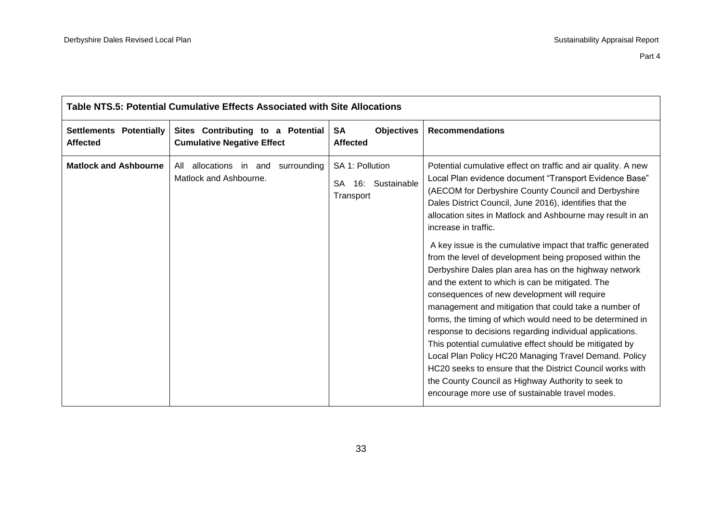| Table NTS.5: Potential Cumulative Effects Associated with Site Allocations |                                                                        |                                                              |                                                                                                                                                                                                                                                                                                                                                                                                                                                                                                                                                                                                                                                                                                                                                                                                                                                                                                                                                                                                                                                                                                    |  |
|----------------------------------------------------------------------------|------------------------------------------------------------------------|--------------------------------------------------------------|----------------------------------------------------------------------------------------------------------------------------------------------------------------------------------------------------------------------------------------------------------------------------------------------------------------------------------------------------------------------------------------------------------------------------------------------------------------------------------------------------------------------------------------------------------------------------------------------------------------------------------------------------------------------------------------------------------------------------------------------------------------------------------------------------------------------------------------------------------------------------------------------------------------------------------------------------------------------------------------------------------------------------------------------------------------------------------------------------|--|
| <b>Settlements Potentially</b><br><b>Affected</b>                          | Sites Contributing to a Potential<br><b>Cumulative Negative Effect</b> | <b>Objectives</b><br>SA<br><b>Affected</b>                   | <b>Recommendations</b>                                                                                                                                                                                                                                                                                                                                                                                                                                                                                                                                                                                                                                                                                                                                                                                                                                                                                                                                                                                                                                                                             |  |
| <b>Matlock and Ashbourne</b>                                               | All allocations in and surrounding<br>Matlock and Ashbourne.           | SA 1: Pollution<br><b>SA</b><br>16: Sustainable<br>Transport | Potential cumulative effect on traffic and air quality. A new<br>Local Plan evidence document "Transport Evidence Base"<br>(AECOM for Derbyshire County Council and Derbyshire<br>Dales District Council, June 2016), identifies that the<br>allocation sites in Matlock and Ashbourne may result in an<br>increase in traffic.<br>A key issue is the cumulative impact that traffic generated<br>from the level of development being proposed within the<br>Derbyshire Dales plan area has on the highway network<br>and the extent to which is can be mitigated. The<br>consequences of new development will require<br>management and mitigation that could take a number of<br>forms, the timing of which would need to be determined in<br>response to decisions regarding individual applications.<br>This potential cumulative effect should be mitigated by<br>Local Plan Policy HC20 Managing Travel Demand. Policy<br>HC20 seeks to ensure that the District Council works with<br>the County Council as Highway Authority to seek to<br>encourage more use of sustainable travel modes. |  |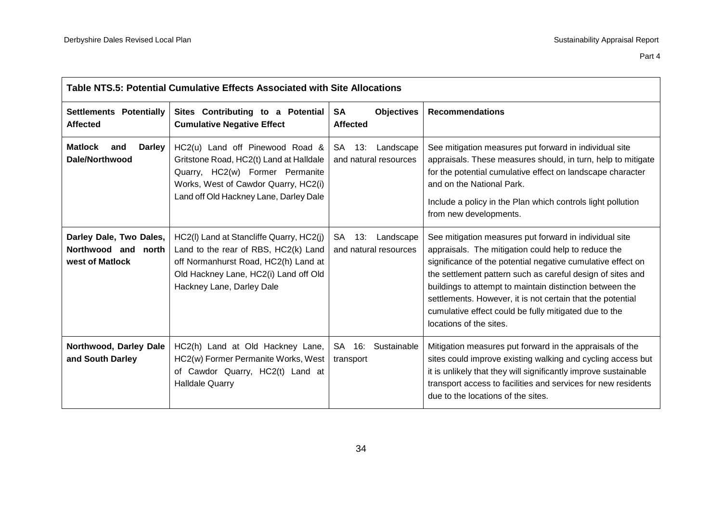| Table NTS.5: Potential Cumulative Effects Associated with Site Allocations |                                                                                                                                                                                                 |                                                   |                                                                                                                                                                                                                                                                                                                                                                                                                                                          |  |
|----------------------------------------------------------------------------|-------------------------------------------------------------------------------------------------------------------------------------------------------------------------------------------------|---------------------------------------------------|----------------------------------------------------------------------------------------------------------------------------------------------------------------------------------------------------------------------------------------------------------------------------------------------------------------------------------------------------------------------------------------------------------------------------------------------------------|--|
| <b>Settlements Potentially</b><br><b>Affected</b>                          | Sites Contributing to a Potential<br><b>Cumulative Negative Effect</b>                                                                                                                          | <b>SA</b><br><b>Objectives</b><br><b>Affected</b> | <b>Recommendations</b>                                                                                                                                                                                                                                                                                                                                                                                                                                   |  |
| <b>Matlock</b><br><b>Darley</b><br>and<br>Dale/Northwood                   | HC2(u) Land off Pinewood Road &<br>Gritstone Road, HC2(t) Land at Halldale<br>Quarry, HC2(w) Former Permanite<br>Works, West of Cawdor Quarry, HC2(i)<br>Land off Old Hackney Lane, Darley Dale | SA 13:<br>Landscape<br>and natural resources      | See mitigation measures put forward in individual site<br>appraisals. These measures should, in turn, help to mitigate<br>for the potential cumulative effect on landscape character<br>and on the National Park.<br>Include a policy in the Plan which controls light pollution<br>from new developments.                                                                                                                                               |  |
| Darley Dale, Two Dales,<br>Northwood and north<br>west of Matlock          | HC2(I) Land at Stancliffe Quarry, HC2(j)<br>Land to the rear of RBS, HC2(k) Land<br>off Normanhurst Road, HC2(h) Land at<br>Old Hackney Lane, HC2(i) Land off Old<br>Hackney Lane, Darley Dale  | 13:<br>Landscape<br>SA.<br>and natural resources  | See mitigation measures put forward in individual site<br>appraisals. The mitigation could help to reduce the<br>significance of the potential negative cumulative effect on<br>the settlement pattern such as careful design of sites and<br>buildings to attempt to maintain distinction between the<br>settlements. However, it is not certain that the potential<br>cumulative effect could be fully mitigated due to the<br>locations of the sites. |  |
| Northwood, Darley Dale<br>and South Darley                                 | HC2(h) Land at Old Hackney Lane,<br>HC2(w) Former Permanite Works, West<br>of Cawdor Quarry, HC2(t) Land at<br><b>Halldale Quarry</b>                                                           | SA 16:<br>Sustainable<br>transport                | Mitigation measures put forward in the appraisals of the<br>sites could improve existing walking and cycling access but<br>it is unlikely that they will significantly improve sustainable<br>transport access to facilities and services for new residents<br>due to the locations of the sites.                                                                                                                                                        |  |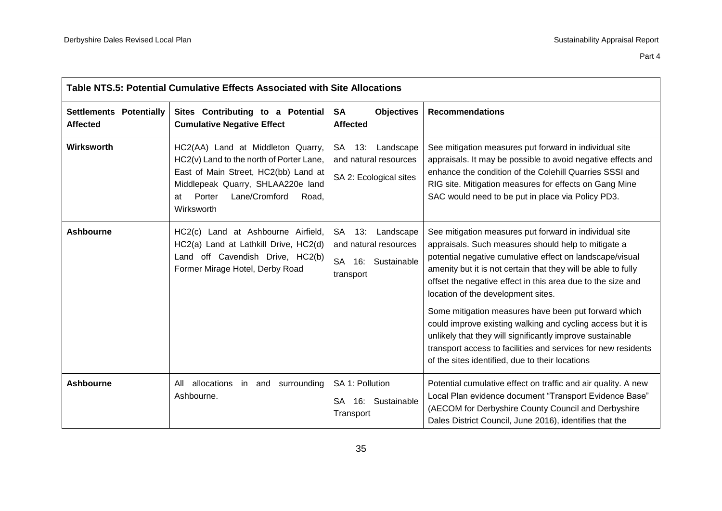| Table NTS.5: Potential Cumulative Effects Associated with Site Allocations |                                                                                                                                                                                                                    |                                                                                           |                                                                                                                                                                                                                                                                                                                                                                                                                                                                                                                                                                                                                                                         |  |
|----------------------------------------------------------------------------|--------------------------------------------------------------------------------------------------------------------------------------------------------------------------------------------------------------------|-------------------------------------------------------------------------------------------|---------------------------------------------------------------------------------------------------------------------------------------------------------------------------------------------------------------------------------------------------------------------------------------------------------------------------------------------------------------------------------------------------------------------------------------------------------------------------------------------------------------------------------------------------------------------------------------------------------------------------------------------------------|--|
| <b>Settlements Potentially</b><br><b>Affected</b>                          | Sites Contributing to a Potential<br><b>Cumulative Negative Effect</b>                                                                                                                                             | <b>SA</b><br><b>Objectives</b><br><b>Affected</b>                                         | <b>Recommendations</b>                                                                                                                                                                                                                                                                                                                                                                                                                                                                                                                                                                                                                                  |  |
| Wirksworth                                                                 | HC2(AA) Land at Middleton Quarry,<br>HC2(v) Land to the north of Porter Lane,<br>East of Main Street, HC2(bb) Land at<br>Middlepeak Quarry, SHLAA220e land<br>Porter<br>Lane/Cromford<br>Road,<br>at<br>Wirksworth | <b>SA</b><br>13:<br>Landscape<br>and natural resources<br>SA 2: Ecological sites          | See mitigation measures put forward in individual site<br>appraisals. It may be possible to avoid negative effects and<br>enhance the condition of the Colehill Quarries SSSI and<br>RIG site. Mitigation measures for effects on Gang Mine<br>SAC would need to be put in place via Policy PD3.                                                                                                                                                                                                                                                                                                                                                        |  |
| <b>Ashbourne</b>                                                           | HC2(c) Land at Ashbourne Airfield,<br>HC2(a) Land at Lathkill Drive, HC2(d)<br>Land off Cavendish Drive, HC2(b)<br>Former Mirage Hotel, Derby Road                                                                 | <b>SA</b><br>13:<br>Landscape<br>and natural resources<br>SA 16: Sustainable<br>transport | See mitigation measures put forward in individual site<br>appraisals. Such measures should help to mitigate a<br>potential negative cumulative effect on landscape/visual<br>amenity but it is not certain that they will be able to fully<br>offset the negative effect in this area due to the size and<br>location of the development sites.<br>Some mitigation measures have been put forward which<br>could improve existing walking and cycling access but it is<br>unlikely that they will significantly improve sustainable<br>transport access to facilities and services for new residents<br>of the sites identified, due to their locations |  |
| <b>Ashbourne</b>                                                           | allocations in and surrounding<br>All<br>Ashbourne.                                                                                                                                                                | SA 1: Pollution<br>SA 16: Sustainable<br>Transport                                        | Potential cumulative effect on traffic and air quality. A new<br>Local Plan evidence document "Transport Evidence Base"<br>(AECOM for Derbyshire County Council and Derbyshire<br>Dales District Council, June 2016), identifies that the                                                                                                                                                                                                                                                                                                                                                                                                               |  |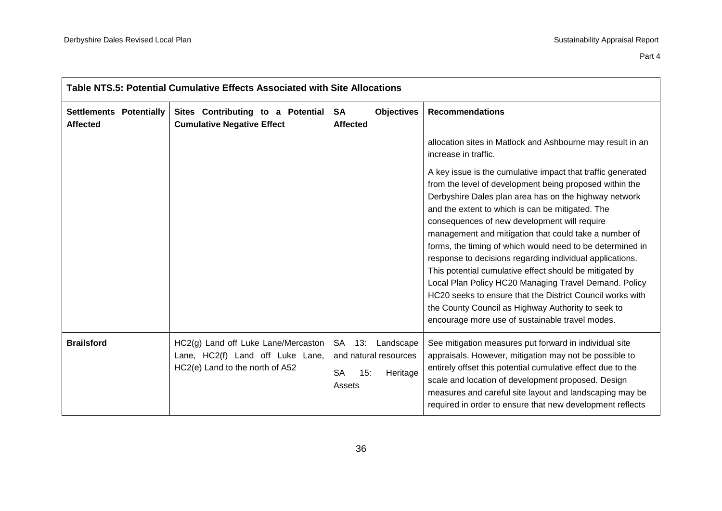Part 4

| Table NTS.5: Potential Cumulative Effects Associated with Site Allocations |                                                                                                            |                                                                                        |                                                                                                                                                                                                                                                                                                                                                                                                                                                                                                                                                                                                                                                                                                                                                                                                                                                       |  |
|----------------------------------------------------------------------------|------------------------------------------------------------------------------------------------------------|----------------------------------------------------------------------------------------|-------------------------------------------------------------------------------------------------------------------------------------------------------------------------------------------------------------------------------------------------------------------------------------------------------------------------------------------------------------------------------------------------------------------------------------------------------------------------------------------------------------------------------------------------------------------------------------------------------------------------------------------------------------------------------------------------------------------------------------------------------------------------------------------------------------------------------------------------------|--|
| <b>Settlements Potentially</b><br><b>Affected</b>                          | Sites Contributing to a Potential<br><b>Cumulative Negative Effect</b>                                     | <b>SA</b><br><b>Objectives</b><br><b>Affected</b>                                      | <b>Recommendations</b>                                                                                                                                                                                                                                                                                                                                                                                                                                                                                                                                                                                                                                                                                                                                                                                                                                |  |
|                                                                            |                                                                                                            |                                                                                        | allocation sites in Matlock and Ashbourne may result in an<br>increase in traffic.<br>A key issue is the cumulative impact that traffic generated<br>from the level of development being proposed within the<br>Derbyshire Dales plan area has on the highway network<br>and the extent to which is can be mitigated. The<br>consequences of new development will require<br>management and mitigation that could take a number of<br>forms, the timing of which would need to be determined in<br>response to decisions regarding individual applications.<br>This potential cumulative effect should be mitigated by<br>Local Plan Policy HC20 Managing Travel Demand. Policy<br>HC20 seeks to ensure that the District Council works with<br>the County Council as Highway Authority to seek to<br>encourage more use of sustainable travel modes. |  |
| <b>Brailsford</b>                                                          | HC2(g) Land off Luke Lane/Mercaston<br>Lane, HC2(f) Land off Luke Lane,<br>HC2(e) Land to the north of A52 | 13: Landscape<br>SA<br>and natural resources<br><b>SA</b><br>15:<br>Heritage<br>Assets | See mitigation measures put forward in individual site<br>appraisals. However, mitigation may not be possible to<br>entirely offset this potential cumulative effect due to the<br>scale and location of development proposed. Design<br>measures and careful site layout and landscaping may be<br>required in order to ensure that new development reflects                                                                                                                                                                                                                                                                                                                                                                                                                                                                                         |  |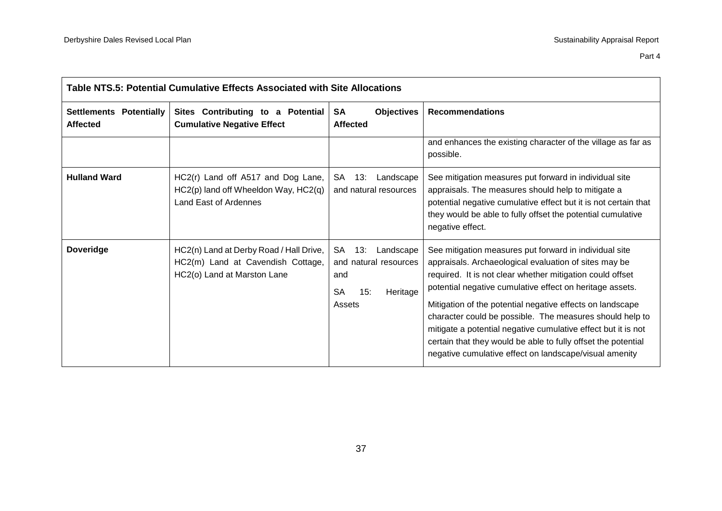| Table NTS.5: Potential Cumulative Effects Associated with Site Allocations |                                                                                                             |                                                                                                  |                                                                                                                                                                                                                                                                                                                                                                                                                                                                                                                                                               |
|----------------------------------------------------------------------------|-------------------------------------------------------------------------------------------------------------|--------------------------------------------------------------------------------------------------|---------------------------------------------------------------------------------------------------------------------------------------------------------------------------------------------------------------------------------------------------------------------------------------------------------------------------------------------------------------------------------------------------------------------------------------------------------------------------------------------------------------------------------------------------------------|
| Settlements Potentially<br><b>Affected</b>                                 | Sites Contributing to a Potential<br><b>Cumulative Negative Effect</b>                                      | <b>SA</b><br><b>Objectives</b><br><b>Affected</b>                                                | <b>Recommendations</b>                                                                                                                                                                                                                                                                                                                                                                                                                                                                                                                                        |
|                                                                            |                                                                                                             |                                                                                                  | and enhances the existing character of the village as far as<br>possible.                                                                                                                                                                                                                                                                                                                                                                                                                                                                                     |
| <b>Hulland Ward</b>                                                        | HC2(r) Land off A517 and Dog Lane,<br>HC2(p) land off Wheeldon Way, HC2(q)<br>Land East of Ardennes         | <b>SA</b><br>13:<br>Landscape<br>and natural resources                                           | See mitigation measures put forward in individual site<br>appraisals. The measures should help to mitigate a<br>potential negative cumulative effect but it is not certain that<br>they would be able to fully offset the potential cumulative<br>negative effect.                                                                                                                                                                                                                                                                                            |
| <b>Doveridge</b>                                                           | HC2(n) Land at Derby Road / Hall Drive,<br>HC2(m) Land at Cavendish Cottage,<br>HC2(o) Land at Marston Lane | SA<br>13:<br>Landscape<br>and natural resources<br>and<br><b>SA</b><br>15:<br>Heritage<br>Assets | See mitigation measures put forward in individual site<br>appraisals. Archaeological evaluation of sites may be<br>required. It is not clear whether mitigation could offset<br>potential negative cumulative effect on heritage assets.<br>Mitigation of the potential negative effects on landscape<br>character could be possible. The measures should help to<br>mitigate a potential negative cumulative effect but it is not<br>certain that they would be able to fully offset the potential<br>negative cumulative effect on landscape/visual amenity |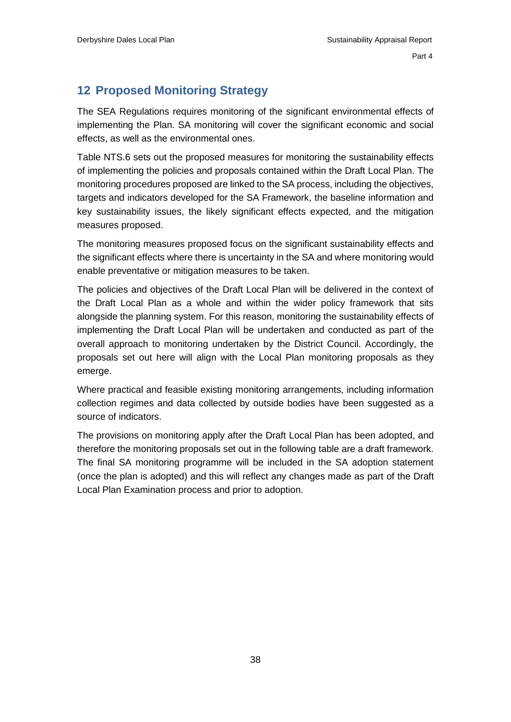# <span id="page-40-0"></span>**12 Proposed Monitoring Strategy**

The SEA Regulations requires monitoring of the significant environmental effects of implementing the Plan. SA monitoring will cover the significant economic and social effects, as well as the environmental ones.

Table NTS.6 sets out the proposed measures for monitoring the sustainability effects of implementing the policies and proposals contained within the Draft Local Plan. The monitoring procedures proposed are linked to the SA process, including the objectives, targets and indicators developed for the SA Framework, the baseline information and key sustainability issues, the likely significant effects expected, and the mitigation measures proposed.

The monitoring measures proposed focus on the significant sustainability effects and the significant effects where there is uncertainty in the SA and where monitoring would enable preventative or mitigation measures to be taken.

The policies and objectives of the Draft Local Plan will be delivered in the context of the Draft Local Plan as a whole and within the wider policy framework that sits alongside the planning system. For this reason, monitoring the sustainability effects of implementing the Draft Local Plan will be undertaken and conducted as part of the overall approach to monitoring undertaken by the District Council. Accordingly, the proposals set out here will align with the Local Plan monitoring proposals as they emerge.

Where practical and feasible existing monitoring arrangements, including information collection regimes and data collected by outside bodies have been suggested as a source of indicators.

The provisions on monitoring apply after the Draft Local Plan has been adopted, and therefore the monitoring proposals set out in the following table are a draft framework. The final SA monitoring programme will be included in the SA adoption statement (once the plan is adopted) and this will reflect any changes made as part of the Draft Local Plan Examination process and prior to adoption.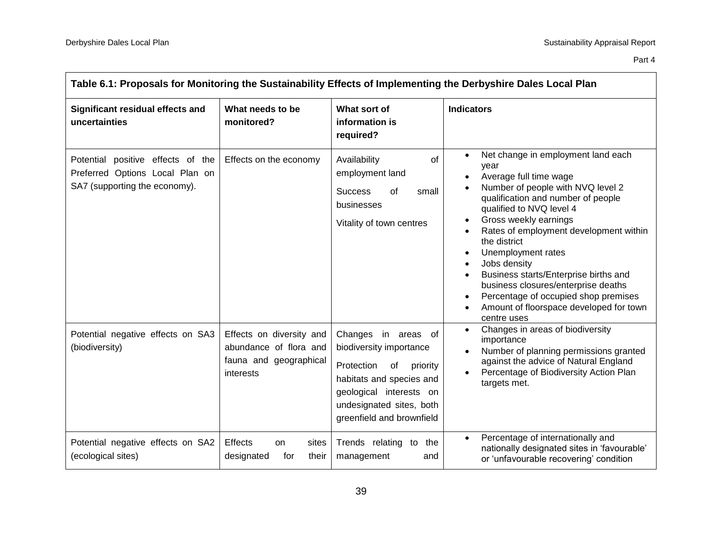| Table 6.1: Proposals for Monitoring the Sustainability Effects of Implementing the Derbyshire Dales Local Plan |                                                                                           |                                                                                                                                                                                                |                                                                                                                                                                                                                                                                                                                                                                                                                                                                                                                  |  |
|----------------------------------------------------------------------------------------------------------------|-------------------------------------------------------------------------------------------|------------------------------------------------------------------------------------------------------------------------------------------------------------------------------------------------|------------------------------------------------------------------------------------------------------------------------------------------------------------------------------------------------------------------------------------------------------------------------------------------------------------------------------------------------------------------------------------------------------------------------------------------------------------------------------------------------------------------|--|
| Significant residual effects and<br>uncertainties                                                              | What needs to be<br>monitored?                                                            | What sort of<br>information is<br>required?                                                                                                                                                    | <b>Indicators</b>                                                                                                                                                                                                                                                                                                                                                                                                                                                                                                |  |
| Potential positive effects of the<br>Preferred Options Local Plan on<br>SA7 (supporting the economy).          | Effects on the economy                                                                    | Availability<br>of<br>employment land<br><b>Success</b><br>of<br>small<br>businesses<br>Vitality of town centres                                                                               | Net change in employment land each<br>vear<br>Average full time wage<br>$\bullet$<br>Number of people with NVQ level 2<br>qualification and number of people<br>qualified to NVQ level 4<br>Gross weekly earnings<br>Rates of employment development within<br>the district<br>Unemployment rates<br>$\bullet$<br>Jobs density<br>Business starts/Enterprise births and<br>business closures/enterprise deaths<br>Percentage of occupied shop premises<br>Amount of floorspace developed for town<br>centre uses |  |
| Potential negative effects on SA3<br>(biodiversity)                                                            | Effects on diversity and<br>abundance of flora and<br>fauna and geographical<br>interests | Changes in areas of<br>biodiversity importance<br>Protection<br>of<br>priority<br>habitats and species and<br>geological interests on<br>undesignated sites, both<br>greenfield and brownfield | Changes in areas of biodiversity<br>$\bullet$<br>importance<br>Number of planning permissions granted<br>against the advice of Natural England<br>Percentage of Biodiversity Action Plan<br>targets met.                                                                                                                                                                                                                                                                                                         |  |
| Potential negative effects on SA2<br>(ecological sites)                                                        | Effects<br>sites<br>on.<br>designated<br>their<br>for                                     | Trends relating to the<br>management<br>and                                                                                                                                                    | Percentage of internationally and<br>nationally designated sites in 'favourable'<br>or 'unfavourable recovering' condition                                                                                                                                                                                                                                                                                                                                                                                       |  |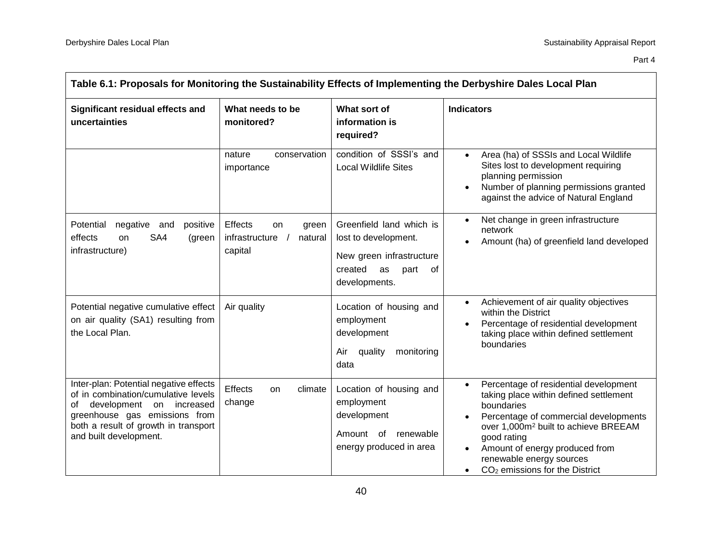| Table 6.1: Proposals for Monitoring the Sustainability Effects of Implementing the Derbyshire Dales Local Plan                                                                                                        |                                                                |                                                                                                                              |                                                                                                                                                                                                                                                                                                                                                 |
|-----------------------------------------------------------------------------------------------------------------------------------------------------------------------------------------------------------------------|----------------------------------------------------------------|------------------------------------------------------------------------------------------------------------------------------|-------------------------------------------------------------------------------------------------------------------------------------------------------------------------------------------------------------------------------------------------------------------------------------------------------------------------------------------------|
| Significant residual effects and<br>uncertainties                                                                                                                                                                     | What needs to be<br>monitored?                                 | What sort of<br>information is<br>required?                                                                                  | <b>Indicators</b>                                                                                                                                                                                                                                                                                                                               |
|                                                                                                                                                                                                                       | conservation<br>nature<br>importance                           | condition of SSSI's and<br><b>Local Wildlife Sites</b>                                                                       | Area (ha) of SSSIs and Local Wildlife<br>Sites lost to development requiring<br>planning permission<br>Number of planning permissions granted<br>against the advice of Natural England                                                                                                                                                          |
| negative<br>Potential<br>positive<br>and<br>SA4<br>effects<br>on<br>(green<br>infrastructure)                                                                                                                         | Effects<br>on<br>green<br>infrastructure<br>natural<br>capital | Greenfield land which is<br>lost to development.<br>New green infrastructure<br>created<br>part<br>as<br>of<br>developments. | Net change in green infrastructure<br>network<br>Amount (ha) of greenfield land developed                                                                                                                                                                                                                                                       |
| Potential negative cumulative effect<br>on air quality (SA1) resulting from<br>the Local Plan.                                                                                                                        | Air quality                                                    | Location of housing and<br>employment<br>development<br>quality<br>monitoring<br>Air<br>data                                 | Achievement of air quality objectives<br>$\bullet$<br>within the District<br>Percentage of residential development<br>taking place within defined settlement<br>boundaries                                                                                                                                                                      |
| Inter-plan: Potential negative effects<br>of in combination/cumulative levels<br>development on<br>increased<br>οf<br>greenhouse gas emissions from<br>both a result of growth in transport<br>and built development. | Effects<br>climate<br>on<br>change                             | Location of housing and<br>employment<br>development<br>Amount of renewable<br>energy produced in area                       | Percentage of residential development<br>$\bullet$<br>taking place within defined settlement<br>boundaries<br>Percentage of commercial developments<br>over 1,000m <sup>2</sup> built to achieve BREEAM<br>good rating<br>Amount of energy produced from<br>renewable energy sources<br>CO <sub>2</sub> emissions for the District<br>$\bullet$ |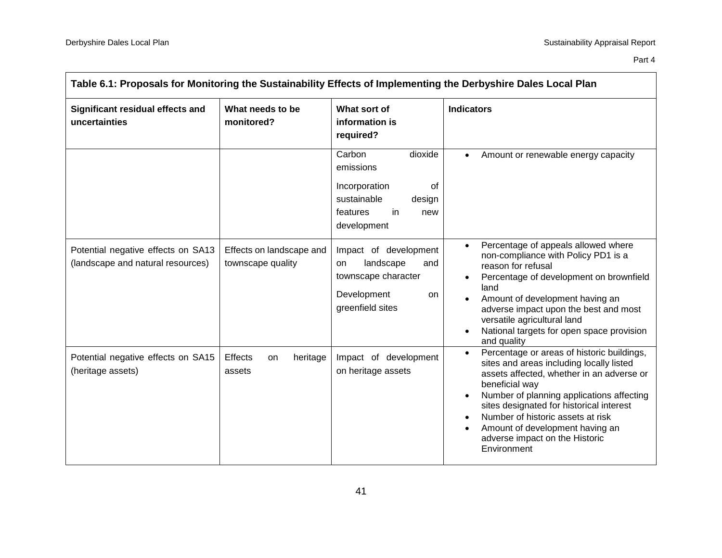| Table 6.1: Proposals for Monitoring the Sustainability Effects of Implementing the Derbyshire Dales Local Plan |                                               |                                                                                                                         |                                                                                                                                                                                                                                                                                                                                                                                      |
|----------------------------------------------------------------------------------------------------------------|-----------------------------------------------|-------------------------------------------------------------------------------------------------------------------------|--------------------------------------------------------------------------------------------------------------------------------------------------------------------------------------------------------------------------------------------------------------------------------------------------------------------------------------------------------------------------------------|
| Significant residual effects and<br>uncertainties                                                              | What needs to be<br>monitored?                | What sort of<br>information is<br>required?                                                                             | <b>Indicators</b>                                                                                                                                                                                                                                                                                                                                                                    |
|                                                                                                                |                                               | Carbon<br>dioxide<br>emissions<br>Incorporation<br>of<br>sustainable<br>design<br>features<br>in.<br>new<br>development | Amount or renewable energy capacity<br>$\bullet$                                                                                                                                                                                                                                                                                                                                     |
| Potential negative effects on SA13<br>(landscape and natural resources)                                        | Effects on landscape and<br>townscape quality | Impact of development<br>landscape<br>and<br>on<br>townscape character<br>Development<br>on.<br>greenfield sites        | Percentage of appeals allowed where<br>non-compliance with Policy PD1 is a<br>reason for refusal<br>Percentage of development on brownfield<br>land<br>Amount of development having an<br>adverse impact upon the best and most<br>versatile agricultural land<br>National targets for open space provision<br>and quality                                                           |
| Potential negative effects on SA15<br>(heritage assets)                                                        | Effects<br>heritage<br>on<br>assets           | Impact of development<br>on heritage assets                                                                             | Percentage or areas of historic buildings,<br>$\bullet$<br>sites and areas including locally listed<br>assets affected, whether in an adverse or<br>beneficial way<br>Number of planning applications affecting<br>sites designated for historical interest<br>Number of historic assets at risk<br>Amount of development having an<br>adverse impact on the Historic<br>Environment |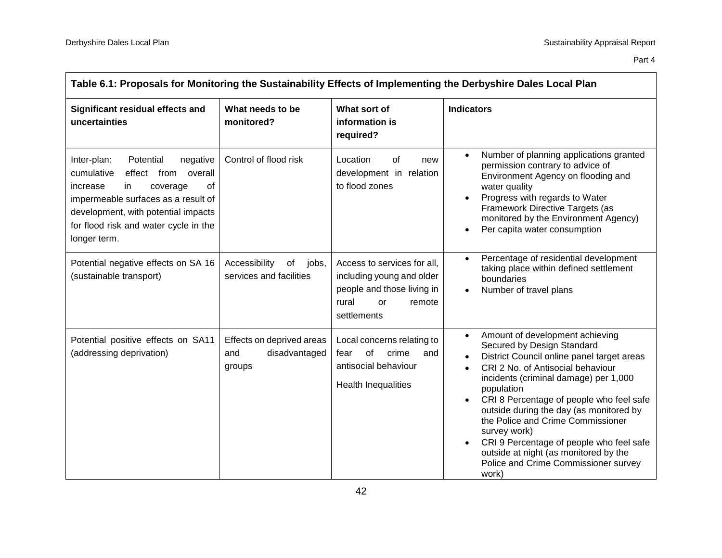| Table 6.1: Proposals for Monitoring the Sustainability Effects of Implementing the Derbyshire Dales Local Plan                                                                                                                                       |                                                             |                                                                                                                                |                                                                                                                                                                                                                                                                                                                                                                                                                                                                                                        |
|------------------------------------------------------------------------------------------------------------------------------------------------------------------------------------------------------------------------------------------------------|-------------------------------------------------------------|--------------------------------------------------------------------------------------------------------------------------------|--------------------------------------------------------------------------------------------------------------------------------------------------------------------------------------------------------------------------------------------------------------------------------------------------------------------------------------------------------------------------------------------------------------------------------------------------------------------------------------------------------|
| Significant residual effects and<br>uncertainties                                                                                                                                                                                                    | What needs to be<br>monitored?                              | What sort of<br>information is<br>required?                                                                                    | <b>Indicators</b>                                                                                                                                                                                                                                                                                                                                                                                                                                                                                      |
| Potential<br>Inter-plan:<br>negative<br>cumulative<br>effect from overall<br>increase<br>in<br>οf<br>coverage<br>impermeable surfaces as a result of<br>development, with potential impacts<br>for flood risk and water cycle in the<br>longer term. | Control of flood risk                                       | Location<br>of<br>new<br>development in relation<br>to flood zones                                                             | Number of planning applications granted<br>permission contrary to advice of<br>Environment Agency on flooding and<br>water quality<br>Progress with regards to Water<br>Framework Directive Targets (as<br>monitored by the Environment Agency)<br>Per capita water consumption<br>$\bullet$                                                                                                                                                                                                           |
| Potential negative effects on SA 16<br>(sustainable transport)                                                                                                                                                                                       | Accessibility<br>of<br>jobs,<br>services and facilities     | Access to services for all,<br>including young and older<br>people and those living in<br>rural<br>or<br>remote<br>settlements | Percentage of residential development<br>taking place within defined settlement<br>boundaries<br>Number of travel plans                                                                                                                                                                                                                                                                                                                                                                                |
| Potential positive effects on SA11<br>(addressing deprivation)                                                                                                                                                                                       | Effects on deprived areas<br>disadvantaged<br>and<br>groups | Local concerns relating to<br>of<br>crime<br>and<br>fear<br>antisocial behaviour<br>Health Inequalities                        | Amount of development achieving<br>$\bullet$<br>Secured by Design Standard<br>District Council online panel target areas<br>CRI 2 No. of Antisocial behaviour<br>incidents (criminal damage) per 1,000<br>population<br>CRI 8 Percentage of people who feel safe<br>outside during the day (as monitored by<br>the Police and Crime Commissioner<br>survey work)<br>CRI 9 Percentage of people who feel safe<br>outside at night (as monitored by the<br>Police and Crime Commissioner survey<br>work) |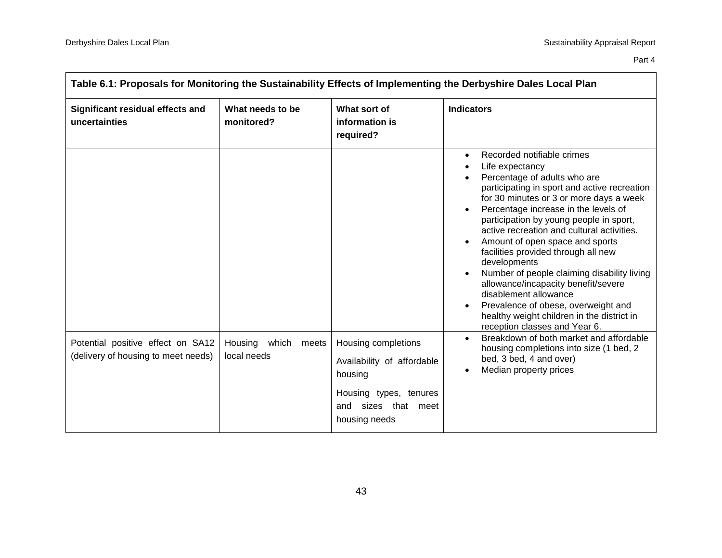| Table 6.1: Proposals for Monitoring the Sustainability Effects of Implementing the Derbyshire Dales Local Plan |                                       |                                                                                                                                |                                                                                                                                                                                                                                                                                                                                                                                                                                                                                                                                                                                                                                                       |  |
|----------------------------------------------------------------------------------------------------------------|---------------------------------------|--------------------------------------------------------------------------------------------------------------------------------|-------------------------------------------------------------------------------------------------------------------------------------------------------------------------------------------------------------------------------------------------------------------------------------------------------------------------------------------------------------------------------------------------------------------------------------------------------------------------------------------------------------------------------------------------------------------------------------------------------------------------------------------------------|--|
| Significant residual effects and<br>uncertainties                                                              | What needs to be<br>monitored?        | What sort of<br>information is<br>required?                                                                                    | <b>Indicators</b>                                                                                                                                                                                                                                                                                                                                                                                                                                                                                                                                                                                                                                     |  |
|                                                                                                                |                                       |                                                                                                                                | Recorded notifiable crimes<br>$\bullet$<br>Life expectancy<br>Percentage of adults who are<br>participating in sport and active recreation<br>for 30 minutes or 3 or more days a week<br>Percentage increase in the levels of<br>participation by young people in sport,<br>active recreation and cultural activities.<br>Amount of open space and sports<br>facilities provided through all new<br>developments<br>Number of people claiming disability living<br>allowance/incapacity benefit/severe<br>disablement allowance<br>Prevalence of obese, overweight and<br>healthy weight children in the district in<br>reception classes and Year 6. |  |
| Potential positive effect on SA12<br>(delivery of housing to meet needs)                                       | Housing which<br>meets<br>local needs | Housing completions<br>Availability of affordable<br>housing<br>Housing types, tenures<br>and sizes that meet<br>housing needs | Breakdown of both market and affordable<br>$\bullet$<br>housing completions into size (1 bed, 2<br>bed, 3 bed, 4 and over)<br>Median property prices                                                                                                                                                                                                                                                                                                                                                                                                                                                                                                  |  |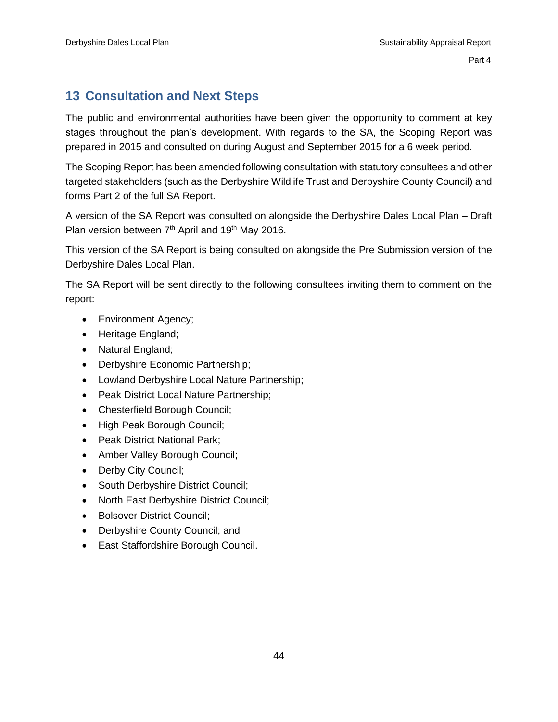# <span id="page-46-0"></span>**13 Consultation and Next Steps**

The public and environmental authorities have been given the opportunity to comment at key stages throughout the plan's development. With regards to the SA, the Scoping Report was prepared in 2015 and consulted on during August and September 2015 for a 6 week period.

The Scoping Report has been amended following consultation with statutory consultees and other targeted stakeholders (such as the Derbyshire Wildlife Trust and Derbyshire County Council) and forms Part 2 of the full SA Report.

A version of the SA Report was consulted on alongside the Derbyshire Dales Local Plan – Draft Plan version between  $7<sup>th</sup>$  April and 19<sup>th</sup> May 2016.

This version of the SA Report is being consulted on alongside the Pre Submission version of the Derbyshire Dales Local Plan.

The SA Report will be sent directly to the following consultees inviting them to comment on the report:

- Environment Agency;
- Heritage England;
- Natural England;
- Derbyshire Economic Partnership;
- Lowland Derbyshire Local Nature Partnership;
- Peak District Local Nature Partnership;
- Chesterfield Borough Council;
- High Peak Borough Council;
- Peak District National Park;
- Amber Valley Borough Council;
- Derby City Council;
- South Derbyshire District Council;
- North East Derbyshire District Council;
- Bolsover District Council;
- Derbyshire County Council; and
- East Staffordshire Borough Council.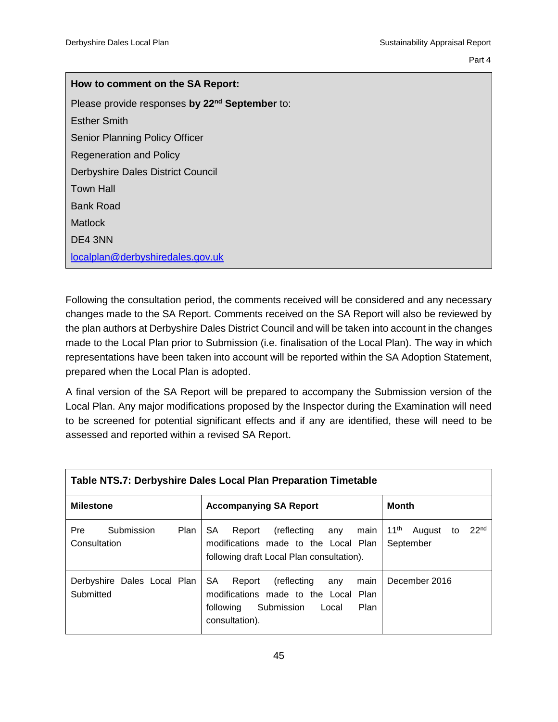Part 4 and 2012 and 2012 and 2012 and 2012 and 2012 and 2012 and 2012 and 2012 and 2012 and 2012 and 2012 and

| How to comment on the SA Report:                           |
|------------------------------------------------------------|
| Please provide responses by 22 <sup>nd</sup> September to: |
| Esther Smith                                               |
| <b>Senior Planning Policy Officer</b>                      |
| <b>Regeneration and Policy</b>                             |
| Derbyshire Dales District Council                          |
| <b>Town Hall</b>                                           |
| Bank Road                                                  |
| Matlock                                                    |
| DE4 3NN                                                    |
| localplan@derbyshiredales.gov.uk                           |

Following the consultation period, the comments received will be considered and any necessary changes made to the SA Report. Comments received on the SA Report will also be reviewed by the plan authors at Derbyshire Dales District Council and will be taken into account in the changes made to the Local Plan prior to Submission (i.e. finalisation of the Local Plan). The way in which representations have been taken into account will be reported within the SA Adoption Statement, prepared when the Local Plan is adopted.

A final version of the SA Report will be prepared to accompany the Submission version of the Local Plan. Any major modifications proposed by the Inspector during the Examination will need to be screened for potential significant effects and if any are identified, these will need to be assessed and reported within a revised SA Report.

| Table NTS.7: Derbyshire Dales Local Plan Preparation Timetable |                                                                                                                                                          |                                                                   |  |  |  |
|----------------------------------------------------------------|----------------------------------------------------------------------------------------------------------------------------------------------------------|-------------------------------------------------------------------|--|--|--|
| <b>Milestone</b>                                               | <b>Accompanying SA Report</b>                                                                                                                            | <b>Month</b>                                                      |  |  |  |
| Submission<br><b>Pre</b><br><b>Plan</b><br>Consultation        | SA.<br>Report<br>(reflecting<br>any<br>main<br>modifications made to the Local Plan<br>following draft Local Plan consultation).                         | 22 <sup>nd</sup><br>11 <sup>th</sup><br>August<br>to<br>September |  |  |  |
| Derbyshire Dales Local Plan<br>Submitted                       | SA.<br>(reflecting<br>Report<br>main<br>any<br>modifications made to the Local Plan<br><b>Plan</b><br>Submission<br>following<br>Local<br>consultation). | December 2016                                                     |  |  |  |